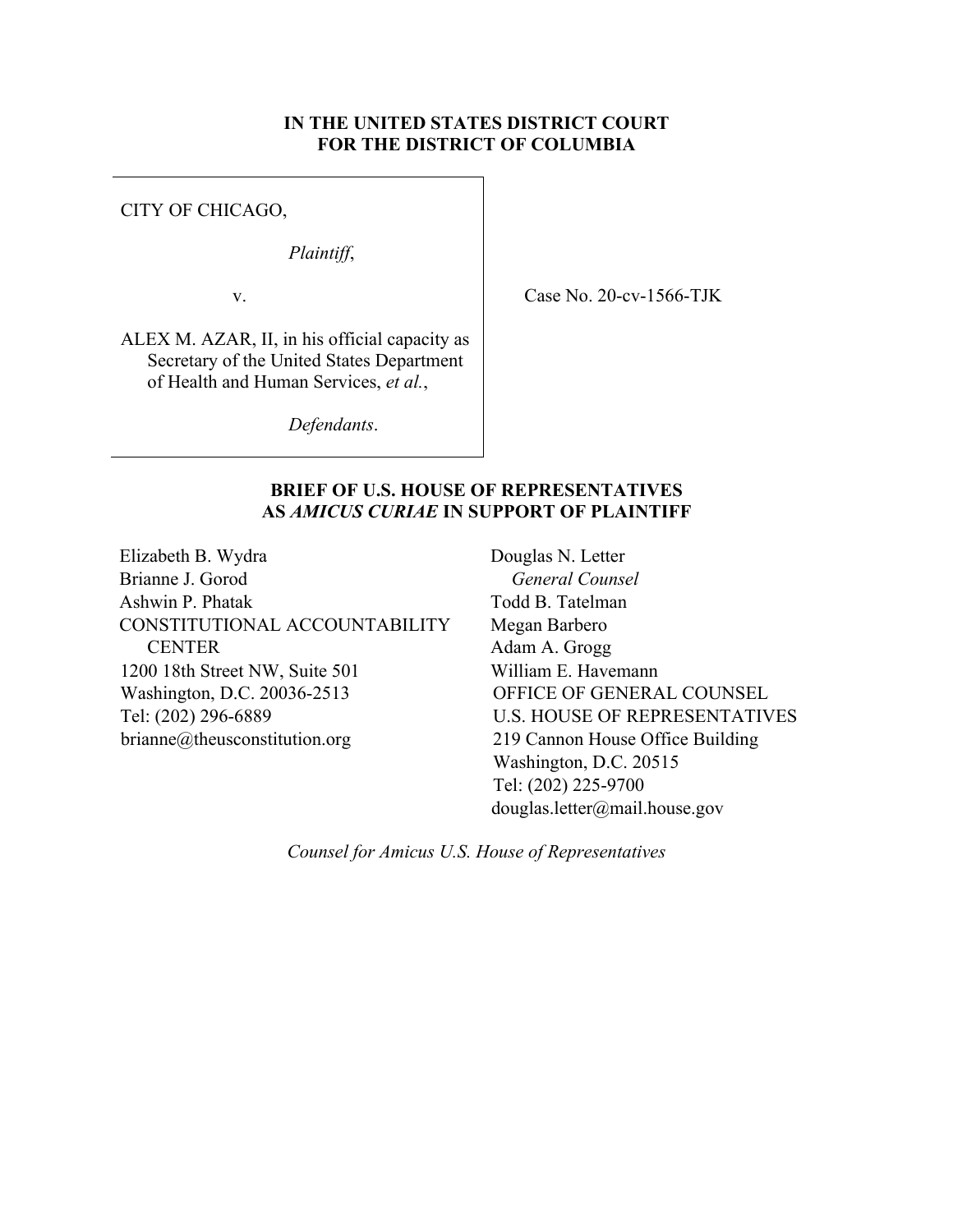## **IN THE UNITED STATES DISTRICT COURT FOR THE DISTRICT OF COLUMBIA**

CITY OF CHICAGO,

*Plaintiff*,

v.

Case No. 20-cv-1566-TJK

ALEX M. AZAR, II, in his official capacity as Secretary of the United States Department of Health and Human Services, *et al.*,

*Defendants*.

## **BRIEF OF U.S. HOUSE OF REPRESENTATIVES AS** *AMICUS CURIAE* **IN SUPPORT OF PLAINTIFF**

Elizabeth B. Wydra Brianne J. Gorod Ashwin P. Phatak CONSTITUTIONAL ACCOUNTABILITY **CENTER** 1200 18th Street NW, Suite 501 Washington, D.C. 20036-2513 Tel: (202) 296-6889 brianne@theusconstitution.org

Douglas N. Letter *General Counsel* Todd B. Tatelman Megan Barbero Adam A. Grogg William E. Havemann OFFICE OF GENERAL COUNSEL U.S. HOUSE OF REPRESENTATIVES 219 Cannon House Office Building Washington, D.C. 20515 Tel: (202) 225-9700 douglas.letter@mail.house.gov

*Counsel for Amicus U.S. House of Representatives*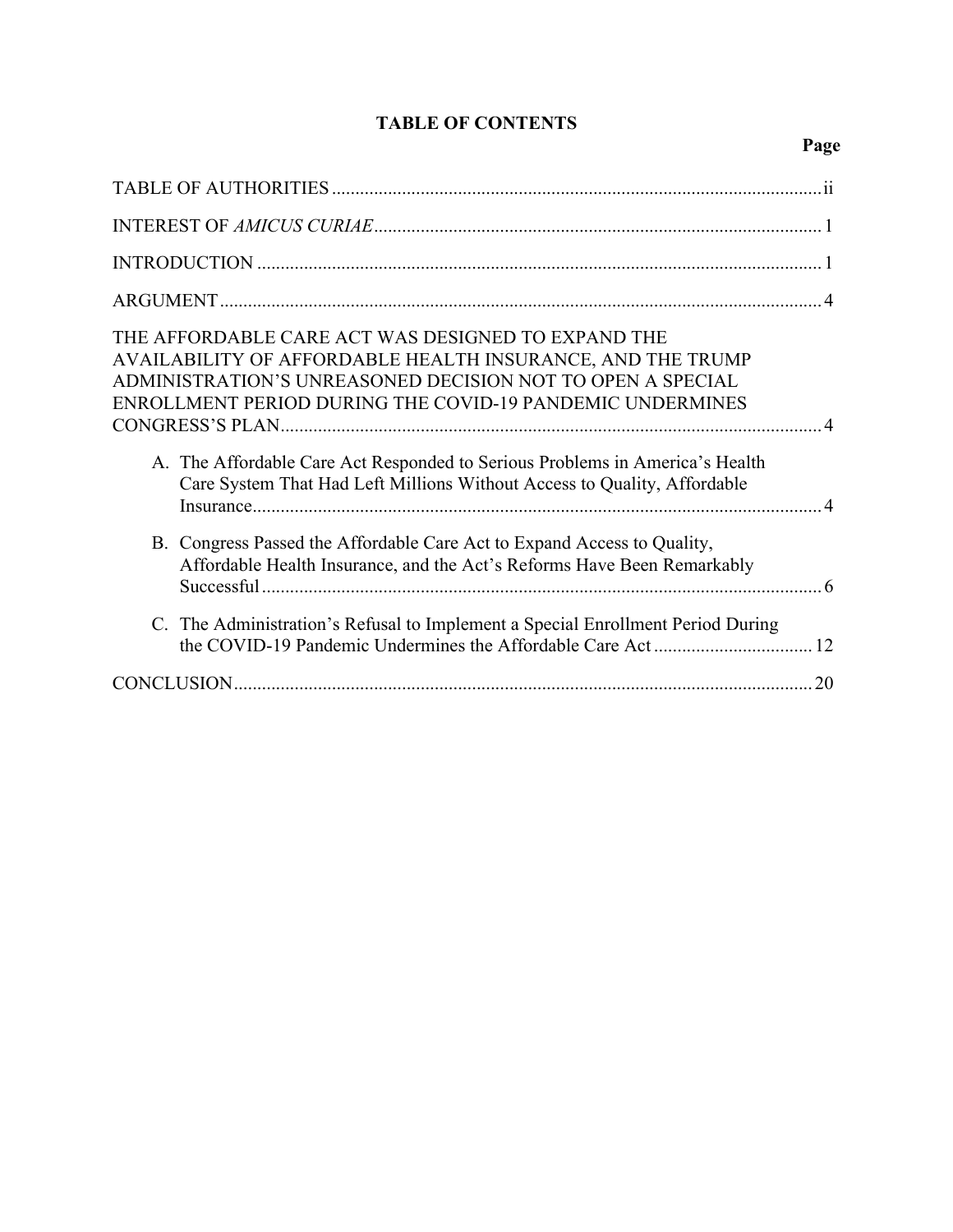# **TABLE OF CONTENTS**

# **Page**

| THE AFFORDABLE CARE ACT WAS DESIGNED TO EXPAND THE<br>AVAILABILITY OF AFFORDABLE HEALTH INSURANCE, AND THE TRUMP<br>ADMINISTRATION'S UNREASONED DECISION NOT TO OPEN A SPECIAL<br>ENROLLMENT PERIOD DURING THE COVID-19 PANDEMIC UNDERMINES |
|---------------------------------------------------------------------------------------------------------------------------------------------------------------------------------------------------------------------------------------------|
| A. The Affordable Care Act Responded to Serious Problems in America's Health<br>Care System That Had Left Millions Without Access to Quality, Affordable                                                                                    |
| B. Congress Passed the Affordable Care Act to Expand Access to Quality,<br>Affordable Health Insurance, and the Act's Reforms Have Been Remarkably                                                                                          |
| C. The Administration's Refusal to Implement a Special Enrollment Period During                                                                                                                                                             |
|                                                                                                                                                                                                                                             |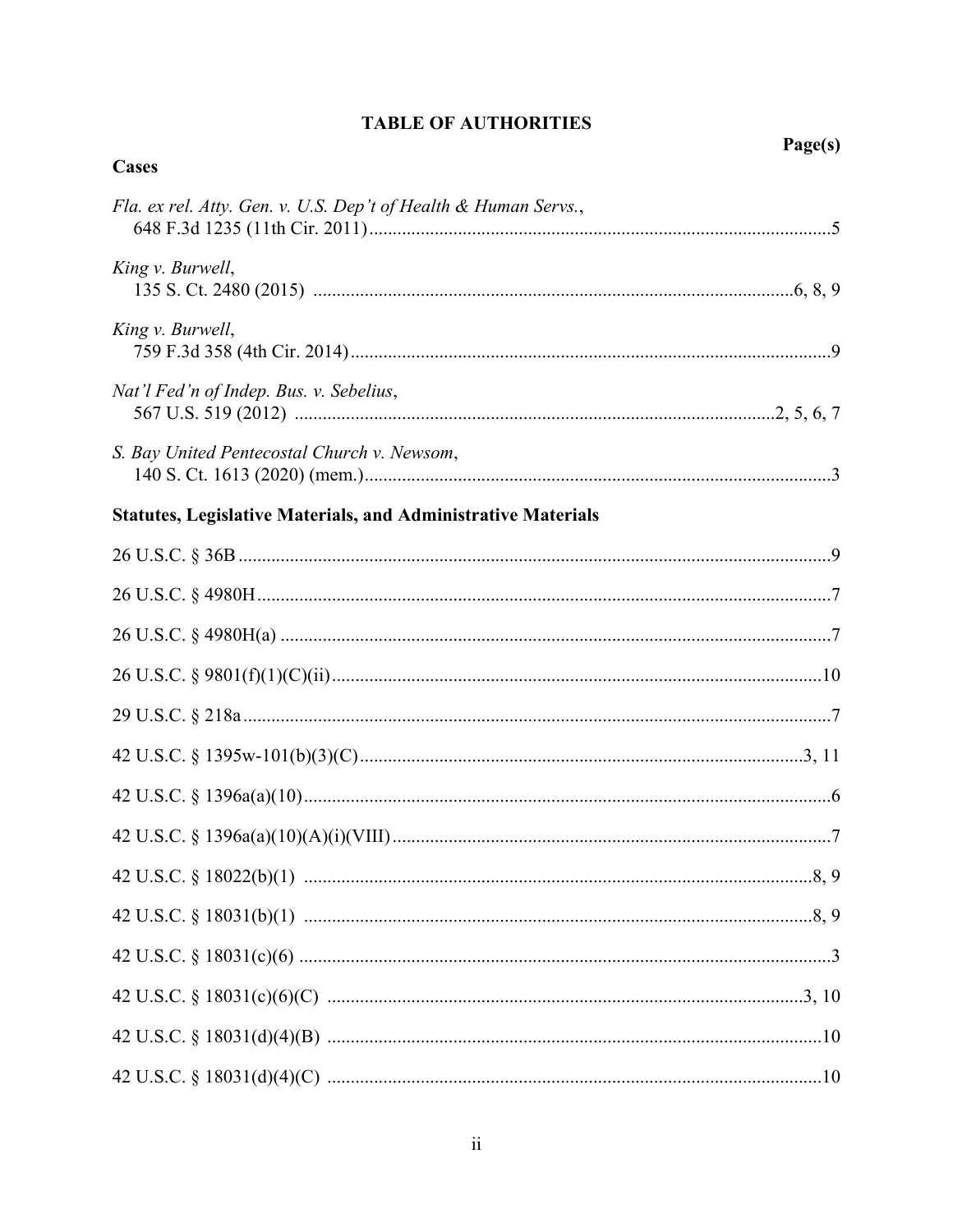| Cases                                                                |  |
|----------------------------------------------------------------------|--|
| Fla. ex rel. Atty. Gen. v. U.S. Dep't of Health & Human Servs.,      |  |
| King v. Burwell,                                                     |  |
| King v. Burwell,                                                     |  |
| Nat'l Fed'n of Indep. Bus. v. Sebelius,                              |  |
| S. Bay United Pentecostal Church v. Newsom,                          |  |
| <b>Statutes, Legislative Materials, and Administrative Materials</b> |  |
|                                                                      |  |
|                                                                      |  |
|                                                                      |  |
|                                                                      |  |
|                                                                      |  |
|                                                                      |  |
|                                                                      |  |
|                                                                      |  |
|                                                                      |  |
|                                                                      |  |
|                                                                      |  |
|                                                                      |  |
|                                                                      |  |
|                                                                      |  |

# **TABLE OF AUTHORITIES**

Page(s)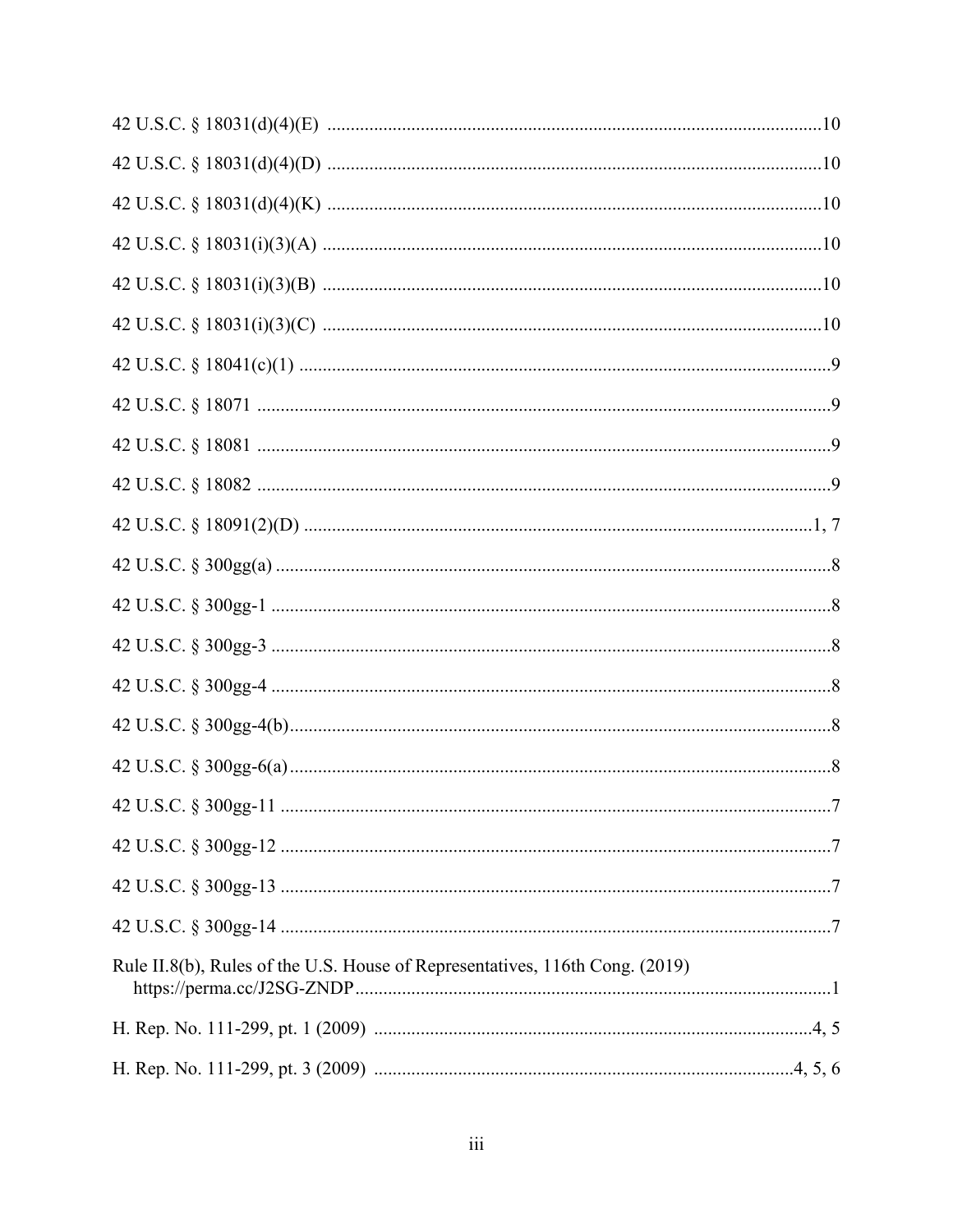| Rule II.8(b), Rules of the U.S. House of Representatives, 116th Cong. (2019) |  |
|------------------------------------------------------------------------------|--|
|                                                                              |  |
|                                                                              |  |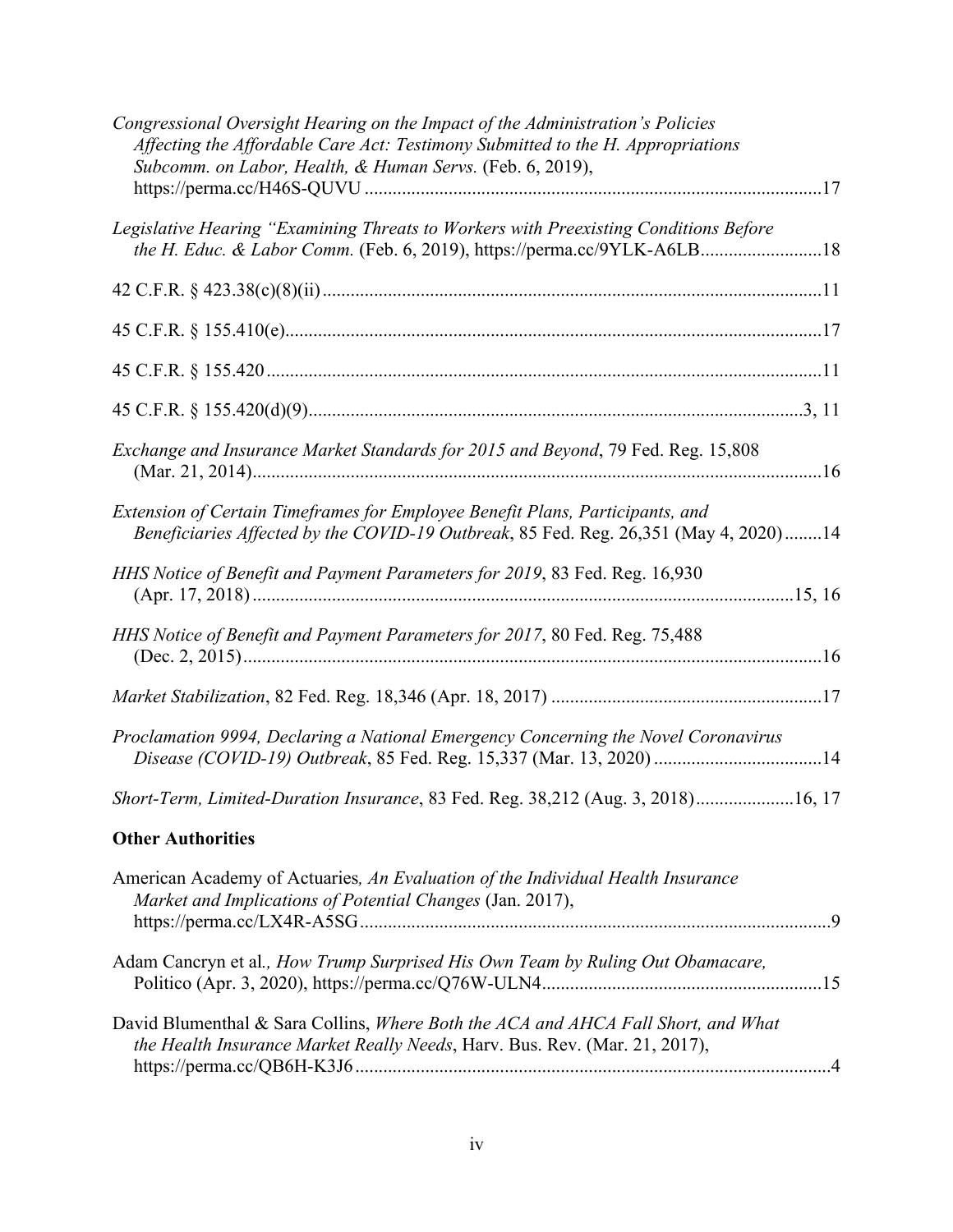| Congressional Oversight Hearing on the Impact of the Administration's Policies<br>Affecting the Affordable Care Act: Testimony Submitted to the H. Appropriations<br>Subcomm. on Labor, Health, & Human Servs. (Feb. 6, 2019), |
|--------------------------------------------------------------------------------------------------------------------------------------------------------------------------------------------------------------------------------|
| Legislative Hearing "Examining Threats to Workers with Preexisting Conditions Before<br>the H. Educ. & Labor Comm. (Feb. 6, 2019), https://perma.cc/9YLK-A6LB18                                                                |
|                                                                                                                                                                                                                                |
|                                                                                                                                                                                                                                |
|                                                                                                                                                                                                                                |
|                                                                                                                                                                                                                                |
| Exchange and Insurance Market Standards for 2015 and Beyond, 79 Fed. Reg. 15,808                                                                                                                                               |
| Extension of Certain Timeframes for Employee Benefit Plans, Participants, and<br>Beneficiaries Affected by the COVID-19 Outbreak, 85 Fed. Reg. 26,351 (May 4, 2020)14                                                          |
| HHS Notice of Benefit and Payment Parameters for 2019, 83 Fed. Reg. 16,930                                                                                                                                                     |
| HHS Notice of Benefit and Payment Parameters for 2017, 80 Fed. Reg. 75,488                                                                                                                                                     |
|                                                                                                                                                                                                                                |
| Proclamation 9994, Declaring a National Emergency Concerning the Novel Coronavirus                                                                                                                                             |
| Short-Term, Limited-Duration Insurance, 83 Fed. Reg. 38,212 (Aug. 3, 2018)16, 17                                                                                                                                               |
| <b>Other Authorities</b>                                                                                                                                                                                                       |
| American Academy of Actuaries, An Evaluation of the Individual Health Insurance<br>Market and Implications of Potential Changes (Jan. 2017),                                                                                   |
| Adam Cancryn et al., How Trump Surprised His Own Team by Ruling Out Obamacare,                                                                                                                                                 |
| David Blumenthal & Sara Collins, Where Both the ACA and AHCA Fall Short, and What<br>the Health Insurance Market Really Needs, Harv. Bus. Rev. (Mar. 21, 2017),                                                                |
|                                                                                                                                                                                                                                |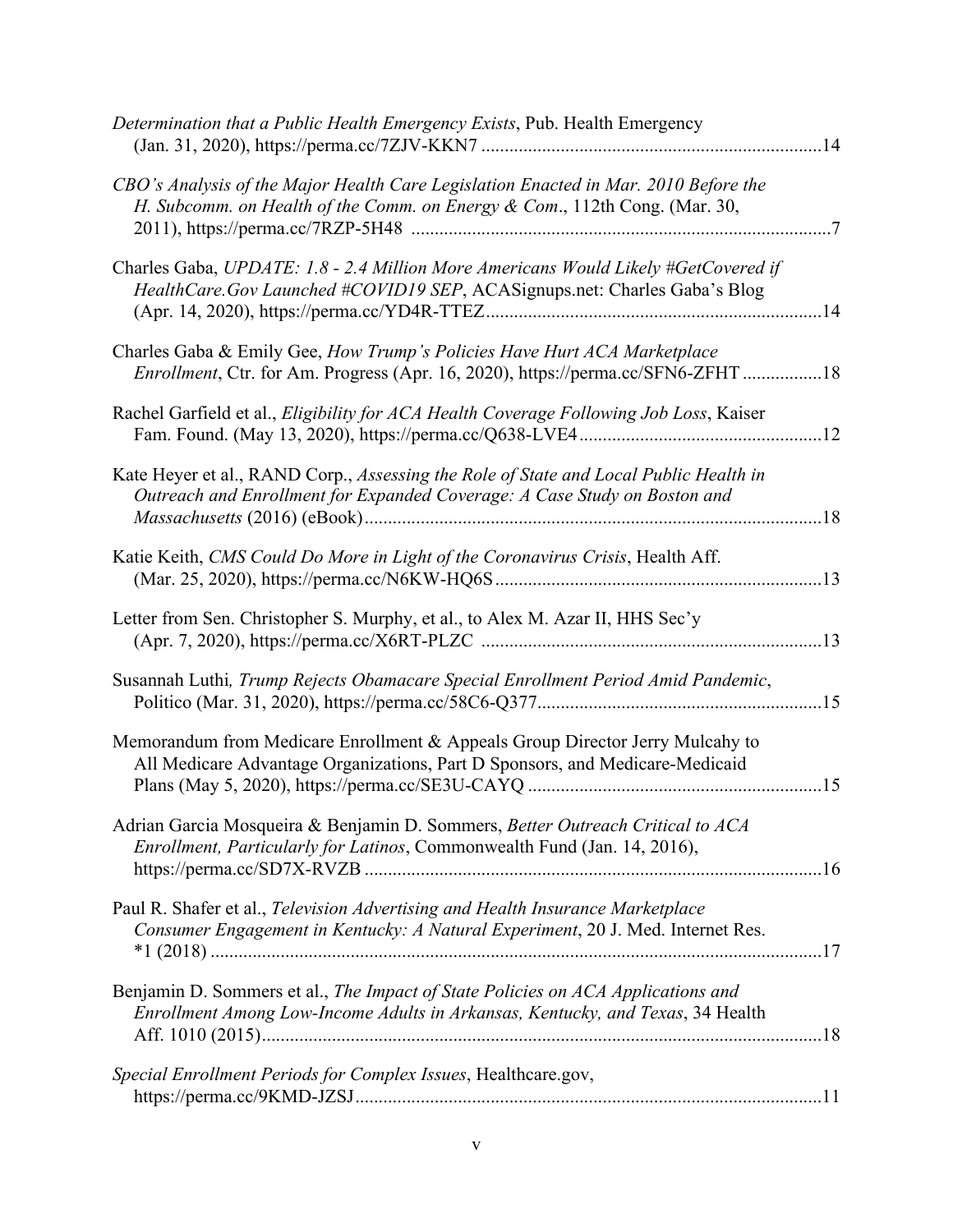| Determination that a Public Health Emergency Exists, Pub. Health Emergency                                                                                          |  |
|---------------------------------------------------------------------------------------------------------------------------------------------------------------------|--|
| CBO's Analysis of the Major Health Care Legislation Enacted in Mar. 2010 Before the<br>H. Subcomm. on Health of the Comm. on Energy & Com., 112th Cong. (Mar. 30,   |  |
| Charles Gaba, UPDATE: 1.8 - 2.4 Million More Americans Would Likely #GetCovered if<br>HealthCare.Gov Launched #COVID19 SEP, ACASignups.net: Charles Gaba's Blog     |  |
| Charles Gaba & Emily Gee, How Trump's Policies Have Hurt ACA Marketplace<br><i>Enrollment</i> , Ctr. for Am. Progress (Apr. 16, 2020), https://perma.cc/SFN6-ZFHT18 |  |
| Rachel Garfield et al., Eligibility for ACA Health Coverage Following Job Loss, Kaiser                                                                              |  |
| Kate Heyer et al., RAND Corp., Assessing the Role of State and Local Public Health in<br>Outreach and Enrollment for Expanded Coverage: A Case Study on Boston and  |  |
| Katie Keith, CMS Could Do More in Light of the Coronavirus Crisis, Health Aff.                                                                                      |  |
| Letter from Sen. Christopher S. Murphy, et al., to Alex M. Azar II, HHS Sec'y                                                                                       |  |
| Susannah Luthi, Trump Rejects Obamacare Special Enrollment Period Amid Pandemic,                                                                                    |  |
| Memorandum from Medicare Enrollment & Appeals Group Director Jerry Mulcahy to<br>All Medicare Advantage Organizations, Part D Sponsors, and Medicare-Medicaid       |  |
| Adrian Garcia Mosqueira & Benjamin D. Sommers, Better Outreach Critical to ACA<br>Enrollment, Particularly for Latinos, Commonwealth Fund (Jan. 14, 2016),          |  |
| Paul R. Shafer et al., Television Advertising and Health Insurance Marketplace<br>Consumer Engagement in Kentucky: A Natural Experiment, 20 J. Med. Internet Res.   |  |
| Benjamin D. Sommers et al., The Impact of State Policies on ACA Applications and<br>Enrollment Among Low-Income Adults in Arkansas, Kentucky, and Texas, 34 Health  |  |
| Special Enrollment Periods for Complex Issues, Healthcare.gov,                                                                                                      |  |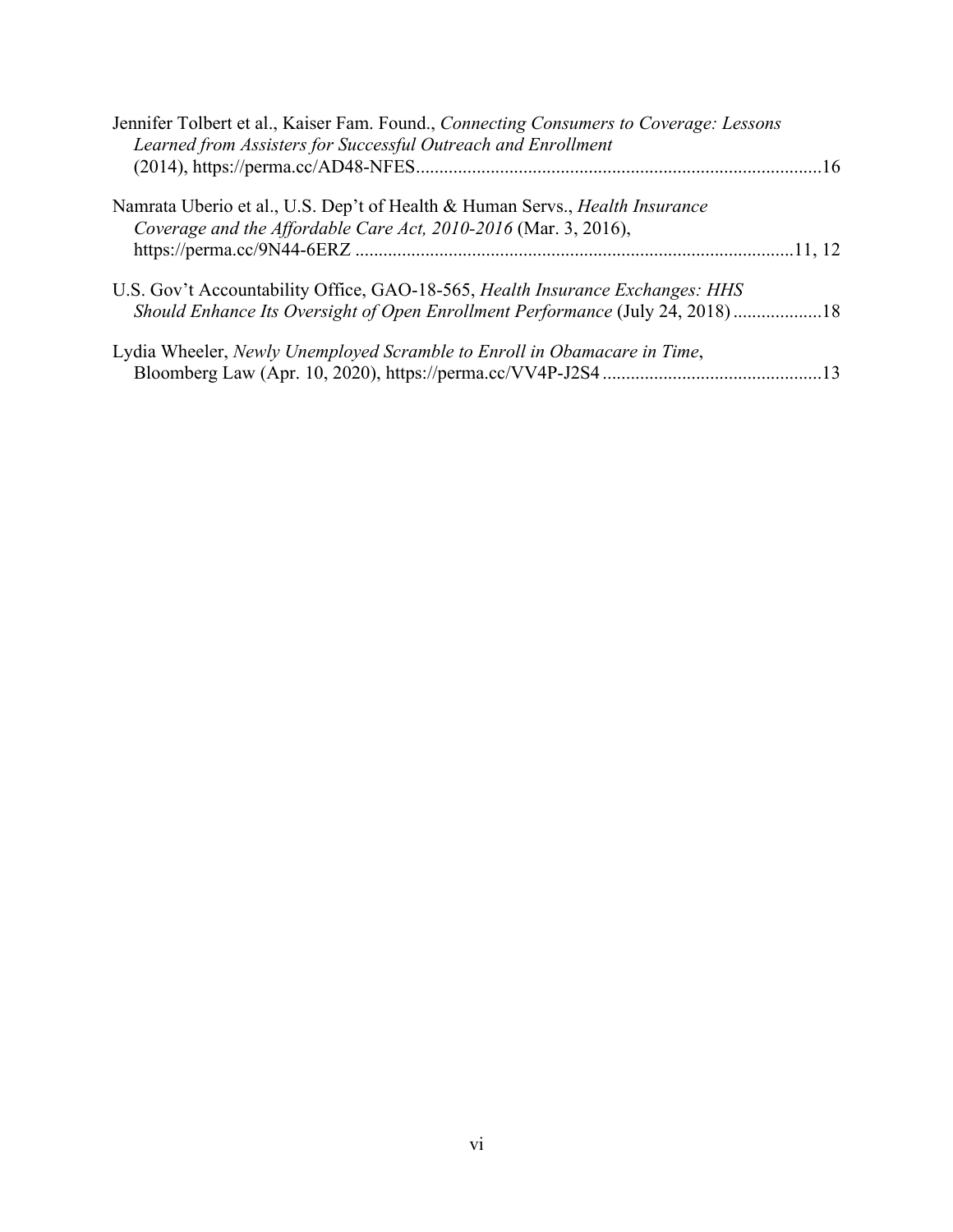| Jennifer Tolbert et al., Kaiser Fam. Found., Connecting Consumers to Coverage: Lessons |  |
|----------------------------------------------------------------------------------------|--|
| Learned from Assisters for Successful Outreach and Enrollment                          |  |
|                                                                                        |  |
| Namrata Uberio et al., U.S. Dep't of Health & Human Servs., <i>Health Insurance</i>    |  |
| Coverage and the Affordable Care Act, 2010-2016 (Mar. 3, 2016),                        |  |
|                                                                                        |  |
| U.S. Gov't Accountability Office, GAO-18-565, Health Insurance Exchanges: HHS          |  |
| Should Enhance Its Oversight of Open Enrollment Performance (July 24, 2018)18          |  |
| Lydia Wheeler, Newly Unemployed Scramble to Enroll in Obamacare in Time,               |  |
|                                                                                        |  |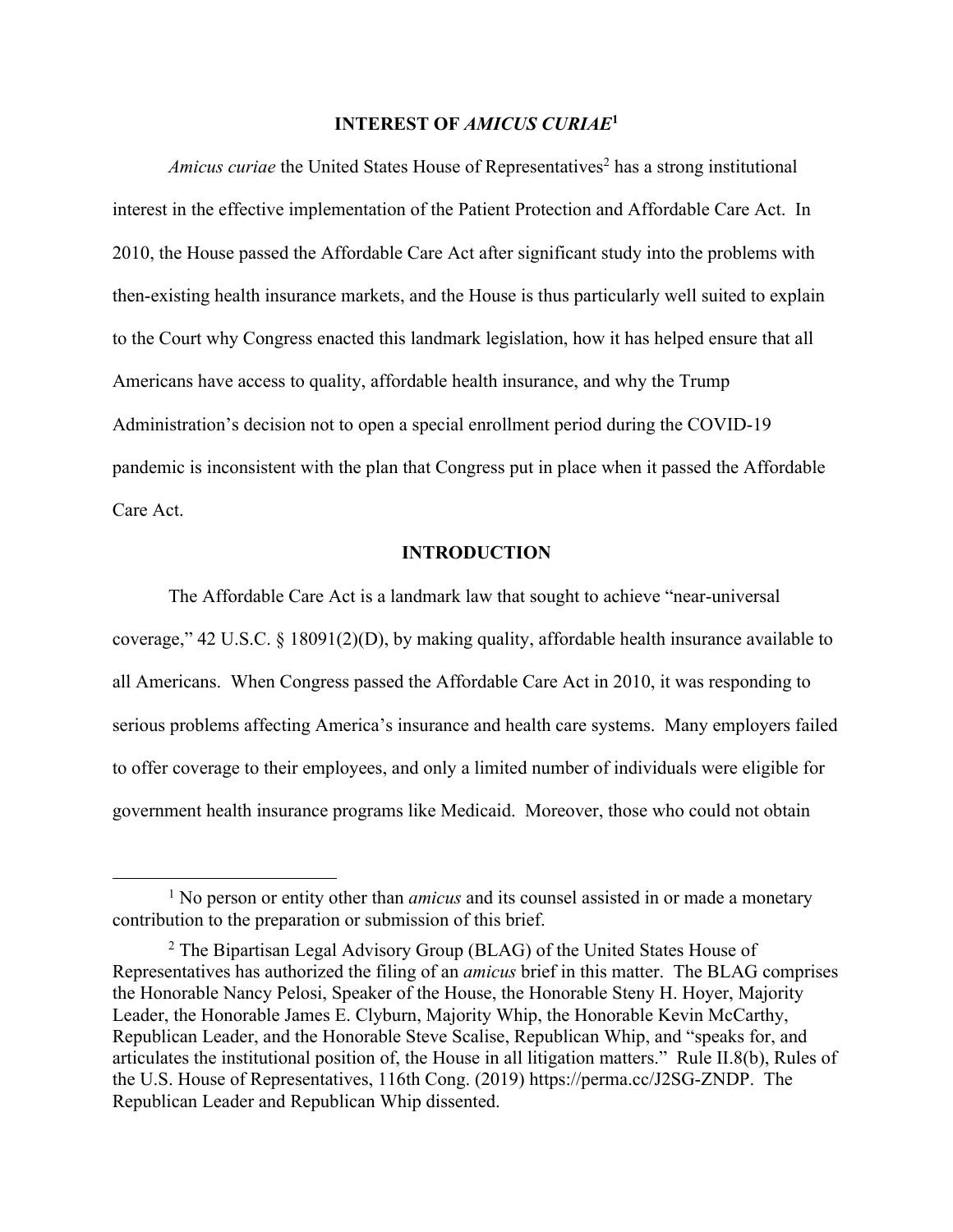## **INTEREST OF** *AMICUS CURIAE***<sup>1</sup>**

*Amicus curiae* the United States House of Representatives<sup>2</sup> has a strong institutional interest in the effective implementation of the Patient Protection and Affordable Care Act. In 2010, the House passed the Affordable Care Act after significant study into the problems with then-existing health insurance markets, and the House is thus particularly well suited to explain to the Court why Congress enacted this landmark legislation, how it has helped ensure that all Americans have access to quality, affordable health insurance, and why the Trump Administration's decision not to open a special enrollment period during the COVID-19 pandemic is inconsistent with the plan that Congress put in place when it passed the Affordable Care Act.

### **INTRODUCTION**

The Affordable Care Act is a landmark law that sought to achieve "near-universal coverage," 42 U.S.C. § 18091(2)(D), by making quality, affordable health insurance available to all Americans. When Congress passed the Affordable Care Act in 2010, it was responding to serious problems affecting America's insurance and health care systems. Many employers failed to offer coverage to their employees, and only a limited number of individuals were eligible for government health insurance programs like Medicaid. Moreover, those who could not obtain

<sup>&</sup>lt;sup>1</sup> No person or entity other than *amicus* and its counsel assisted in or made a monetary contribution to the preparation or submission of this brief.

 $2$  The Bipartisan Legal Advisory Group (BLAG) of the United States House of Representatives has authorized the filing of an *amicus* brief in this matter. The BLAG comprises the Honorable Nancy Pelosi, Speaker of the House, the Honorable Steny H. Hoyer, Majority Leader, the Honorable James E. Clyburn, Majority Whip, the Honorable Kevin McCarthy, Republican Leader, and the Honorable Steve Scalise, Republican Whip, and "speaks for, and articulates the institutional position of, the House in all litigation matters." Rule II.8(b), Rules of the U.S. House of Representatives, 116th Cong. (2019) https://perma.cc/J2SG-ZNDP. The Republican Leader and Republican Whip dissented.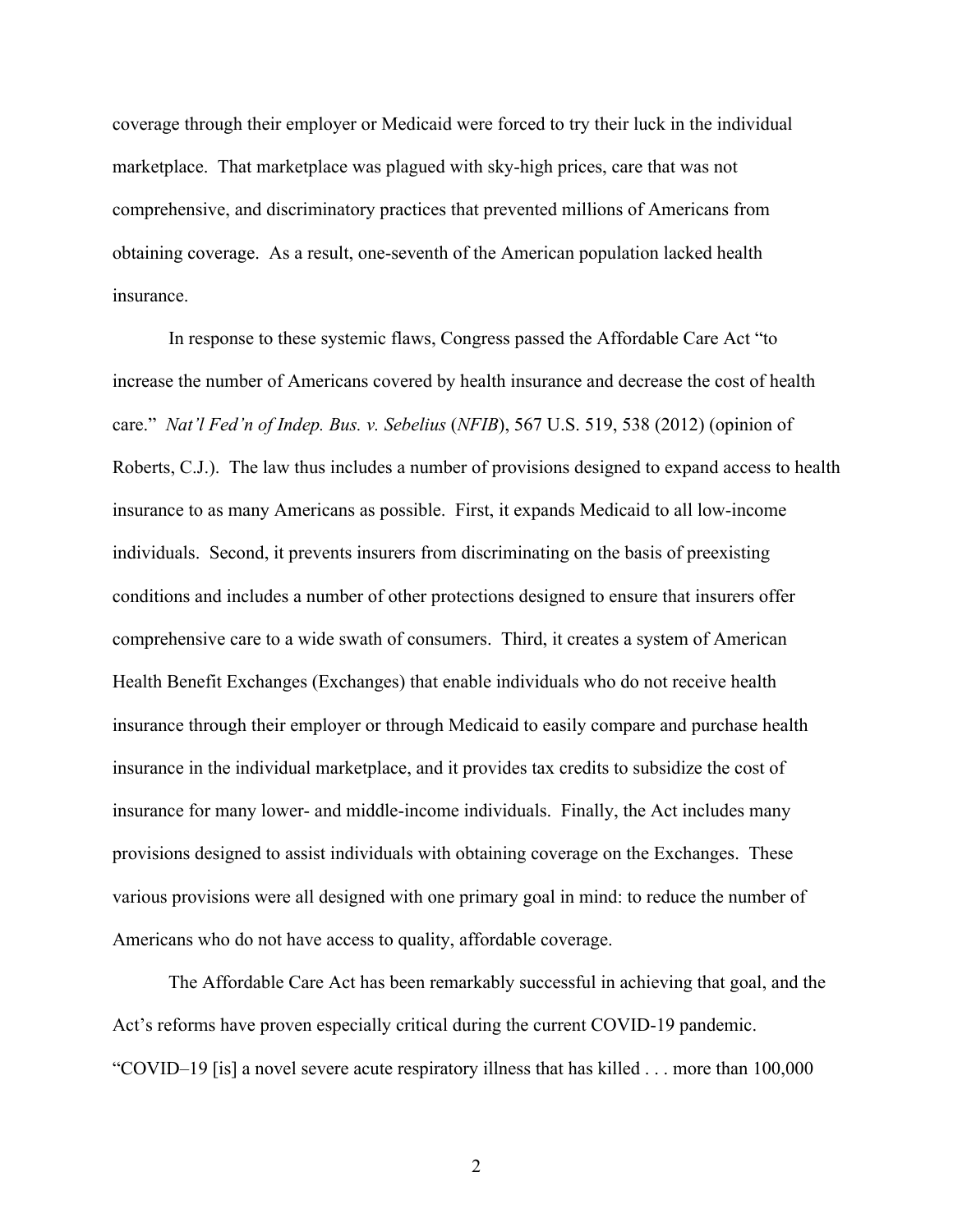coverage through their employer or Medicaid were forced to try their luck in the individual marketplace. That marketplace was plagued with sky-high prices, care that was not comprehensive, and discriminatory practices that prevented millions of Americans from obtaining coverage. As a result, one-seventh of the American population lacked health insurance.

In response to these systemic flaws, Congress passed the Affordable Care Act "to increase the number of Americans covered by health insurance and decrease the cost of health care." *Nat'l Fed'n of Indep. Bus. v. Sebelius* (*NFIB*), 567 U.S. 519, 538 (2012) (opinion of Roberts, C.J.). The law thus includes a number of provisions designed to expand access to health insurance to as many Americans as possible. First, it expands Medicaid to all low-income individuals. Second, it prevents insurers from discriminating on the basis of preexisting conditions and includes a number of other protections designed to ensure that insurers offer comprehensive care to a wide swath of consumers. Third, it creates a system of American Health Benefit Exchanges (Exchanges) that enable individuals who do not receive health insurance through their employer or through Medicaid to easily compare and purchase health insurance in the individual marketplace, and it provides tax credits to subsidize the cost of insurance for many lower- and middle-income individuals. Finally, the Act includes many provisions designed to assist individuals with obtaining coverage on the Exchanges. These various provisions were all designed with one primary goal in mind: to reduce the number of Americans who do not have access to quality, affordable coverage.

The Affordable Care Act has been remarkably successful in achieving that goal, and the Act's reforms have proven especially critical during the current COVID-19 pandemic. "COVID–19 [is] a novel severe acute respiratory illness that has killed . . . more than 100,000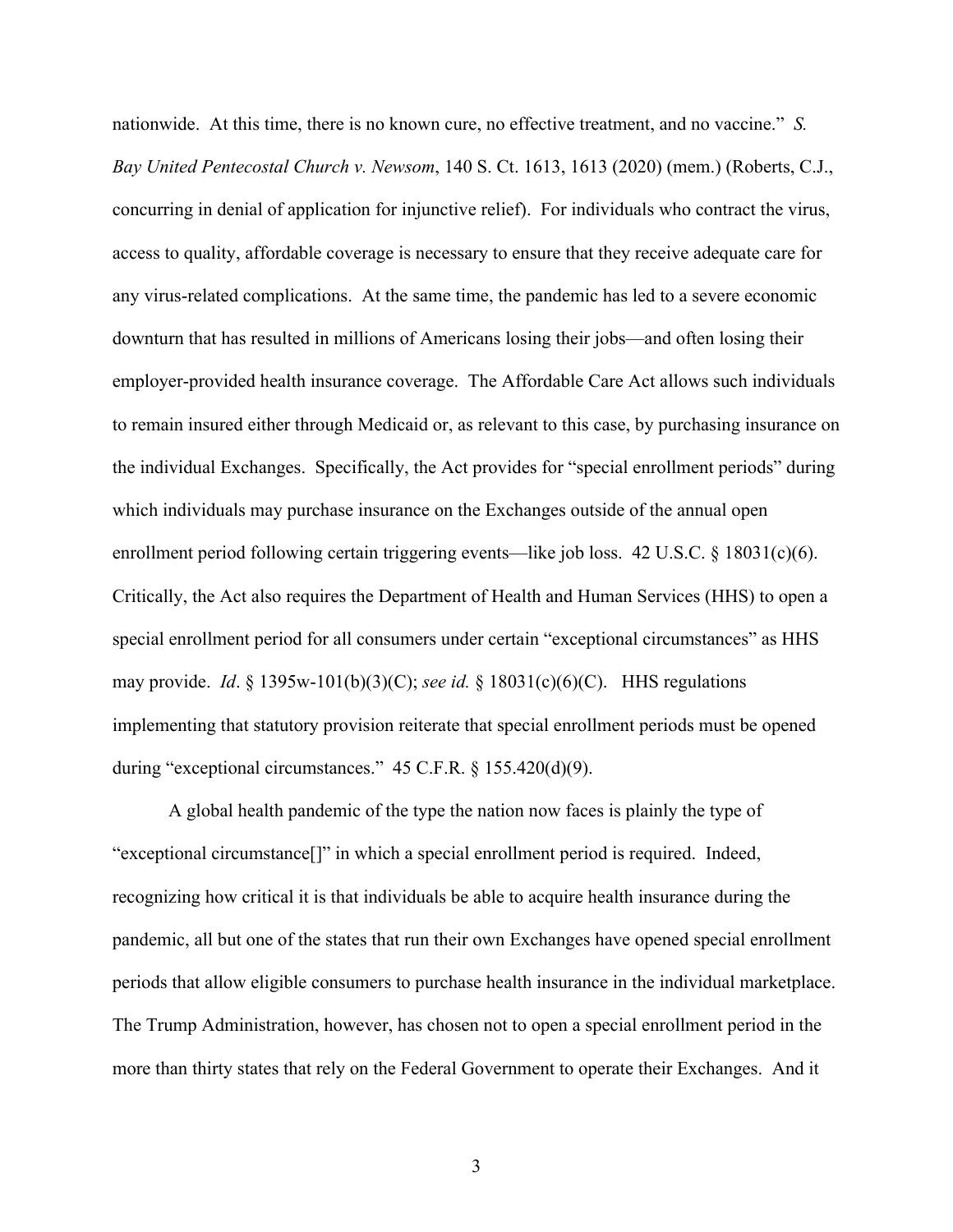nationwide. At this time, there is no known cure, no effective treatment, and no vaccine." *S. Bay United Pentecostal Church v. Newsom*, 140 S. Ct. 1613, 1613 (2020) (mem.) (Roberts, C.J., concurring in denial of application for injunctive relief). For individuals who contract the virus, access to quality, affordable coverage is necessary to ensure that they receive adequate care for any virus-related complications. At the same time, the pandemic has led to a severe economic downturn that has resulted in millions of Americans losing their jobs—and often losing their employer-provided health insurance coverage. The Affordable Care Act allows such individuals to remain insured either through Medicaid or, as relevant to this case, by purchasing insurance on the individual Exchanges. Specifically, the Act provides for "special enrollment periods" during which individuals may purchase insurance on the Exchanges outside of the annual open enrollment period following certain triggering events—like job loss. 42 U.S.C. § 18031(c)(6). Critically, the Act also requires the Department of Health and Human Services (HHS) to open a special enrollment period for all consumers under certain "exceptional circumstances" as HHS may provide. *Id*. § 1395w-101(b)(3)(C); *see id.* § 18031(c)(6)(C). HHS regulations implementing that statutory provision reiterate that special enrollment periods must be opened during "exceptional circumstances." 45 C.F.R. § 155.420(d)(9).

A global health pandemic of the type the nation now faces is plainly the type of "exceptional circumstance[]" in which a special enrollment period is required. Indeed, recognizing how critical it is that individuals be able to acquire health insurance during the pandemic, all but one of the states that run their own Exchanges have opened special enrollment periods that allow eligible consumers to purchase health insurance in the individual marketplace. The Trump Administration, however, has chosen not to open a special enrollment period in the more than thirty states that rely on the Federal Government to operate their Exchanges. And it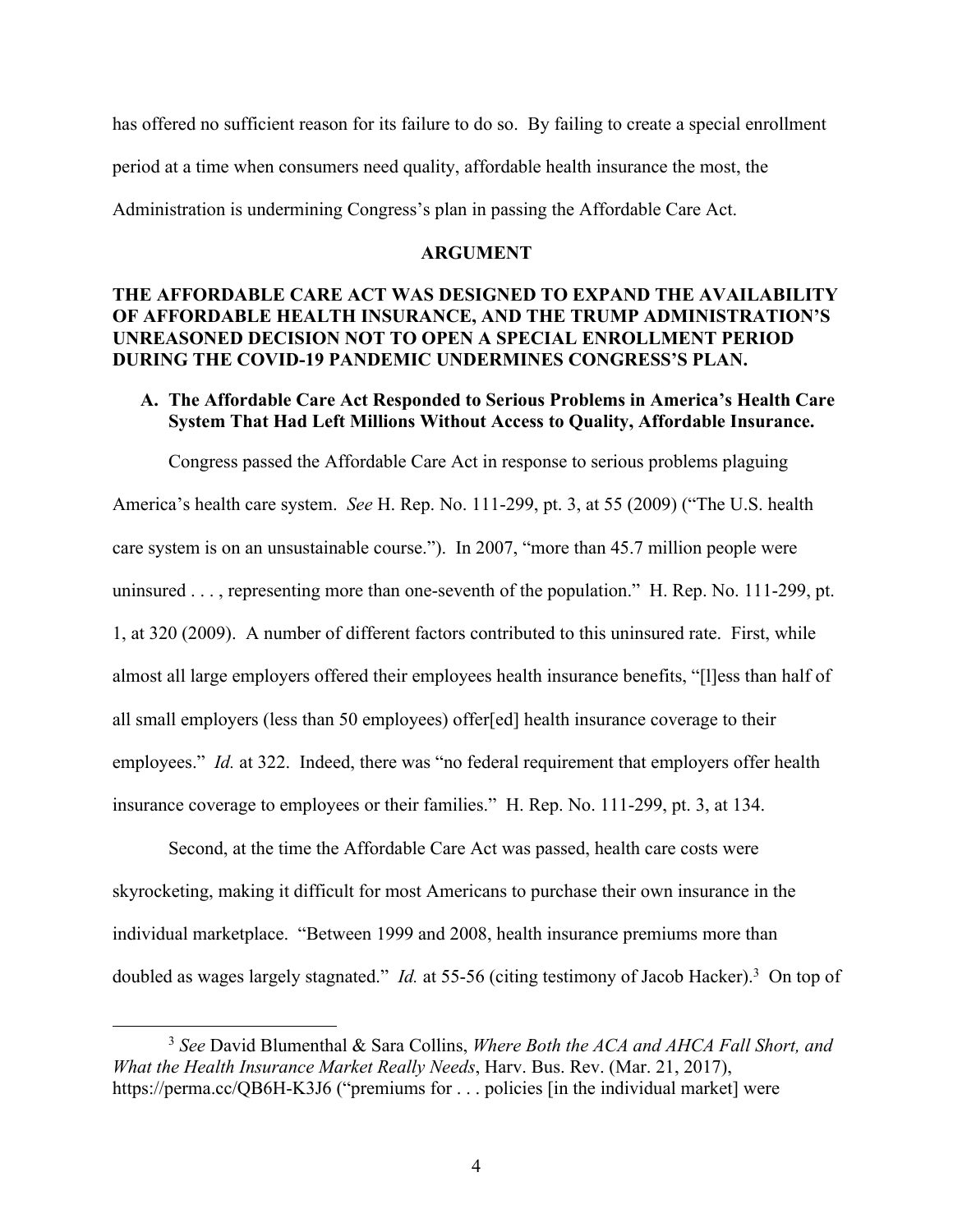has offered no sufficient reason for its failure to do so. By failing to create a special enrollment period at a time when consumers need quality, affordable health insurance the most, the Administration is undermining Congress's plan in passing the Affordable Care Act.

#### **ARGUMENT**

## **THE AFFORDABLE CARE ACT WAS DESIGNED TO EXPAND THE AVAILABILITY OF AFFORDABLE HEALTH INSURANCE, AND THE TRUMP ADMINISTRATION'S UNREASONED DECISION NOT TO OPEN A SPECIAL ENROLLMENT PERIOD DURING THE COVID-19 PANDEMIC UNDERMINES CONGRESS'S PLAN.**

## **A. The Affordable Care Act Responded to Serious Problems in America's Health Care System That Had Left Millions Without Access to Quality, Affordable Insurance.**

Congress passed the Affordable Care Act in response to serious problems plaguing America's health care system. *See* H. Rep. No. 111-299, pt. 3, at 55 (2009) ("The U.S. health care system is on an unsustainable course."). In 2007, "more than 45.7 million people were uninsured . . . , representing more than one-seventh of the population." H. Rep. No. 111-299, pt. 1, at 320 (2009). A number of different factors contributed to this uninsured rate. First, while almost all large employers offered their employees health insurance benefits, "[l]ess than half of all small employers (less than 50 employees) offer[ed] health insurance coverage to their employees." *Id.* at 322. Indeed, there was "no federal requirement that employers offer health insurance coverage to employees or their families." H. Rep. No. 111-299, pt. 3, at 134.

Second, at the time the Affordable Care Act was passed, health care costs were skyrocketing, making it difficult for most Americans to purchase their own insurance in the individual marketplace. "Between 1999 and 2008, health insurance premiums more than doubled as wages largely stagnated." *Id.* at 55-56 (citing testimony of Jacob Hacker). 3 On top of

<sup>3</sup> *See* David Blumenthal & Sara Collins, *Where Both the ACA and AHCA Fall Short, and What the Health Insurance Market Really Needs*, Harv. Bus. Rev. (Mar. 21, 2017), https://perma.cc/QB6H-K3J6 ("premiums for ... policies [in the individual market] were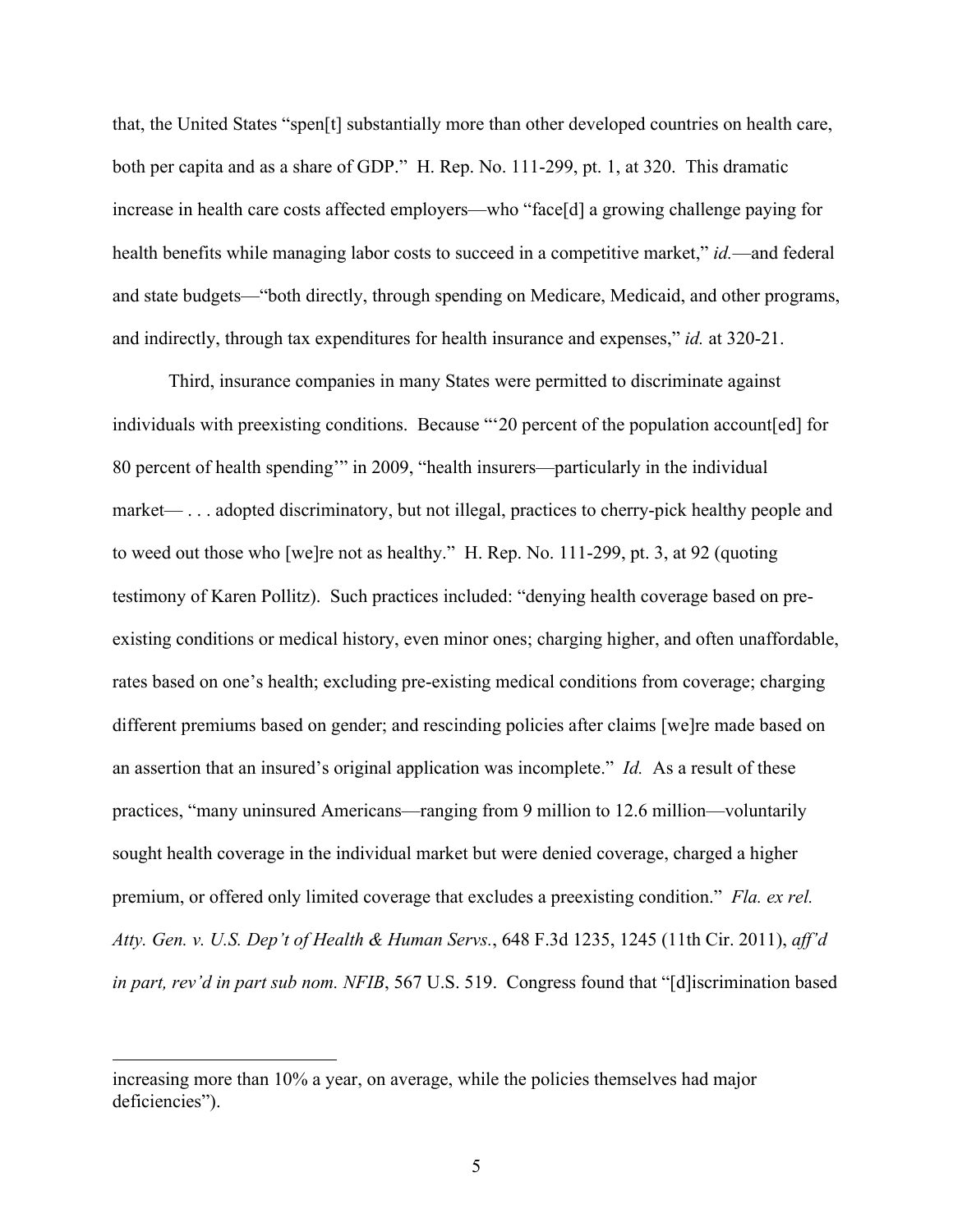that, the United States "spen[t] substantially more than other developed countries on health care, both per capita and as a share of GDP." H. Rep. No. 111-299, pt. 1, at 320. This dramatic increase in health care costs affected employers—who "face[d] a growing challenge paying for health benefits while managing labor costs to succeed in a competitive market," *id.*—and federal and state budgets—"both directly, through spending on Medicare, Medicaid, and other programs, and indirectly, through tax expenditures for health insurance and expenses," *id.* at 320-21.

Third, insurance companies in many States were permitted to discriminate against individuals with preexisting conditions. Because "'20 percent of the population account[ed] for 80 percent of health spending'" in 2009, "health insurers—particularly in the individual market— . . . adopted discriminatory, but not illegal, practices to cherry-pick healthy people and to weed out those who [we]re not as healthy." H. Rep. No. 111-299, pt. 3, at 92 (quoting testimony of Karen Pollitz). Such practices included: "denying health coverage based on preexisting conditions or medical history, even minor ones; charging higher, and often unaffordable, rates based on one's health; excluding pre-existing medical conditions from coverage; charging different premiums based on gender; and rescinding policies after claims [we]re made based on an assertion that an insured's original application was incomplete." *Id.* As a result of these practices, "many uninsured Americans—ranging from 9 million to 12.6 million—voluntarily sought health coverage in the individual market but were denied coverage, charged a higher premium, or offered only limited coverage that excludes a preexisting condition." *Fla. ex rel. Atty. Gen. v. U.S. Dep't of Health & Human Servs.*, 648 F.3d 1235, 1245 (11th Cir. 2011), *aff'd in part, rev'd in part sub nom. NFIB*, 567 U.S. 519. Congress found that "[d]iscrimination based

increasing more than 10% a year, on average, while the policies themselves had major deficiencies").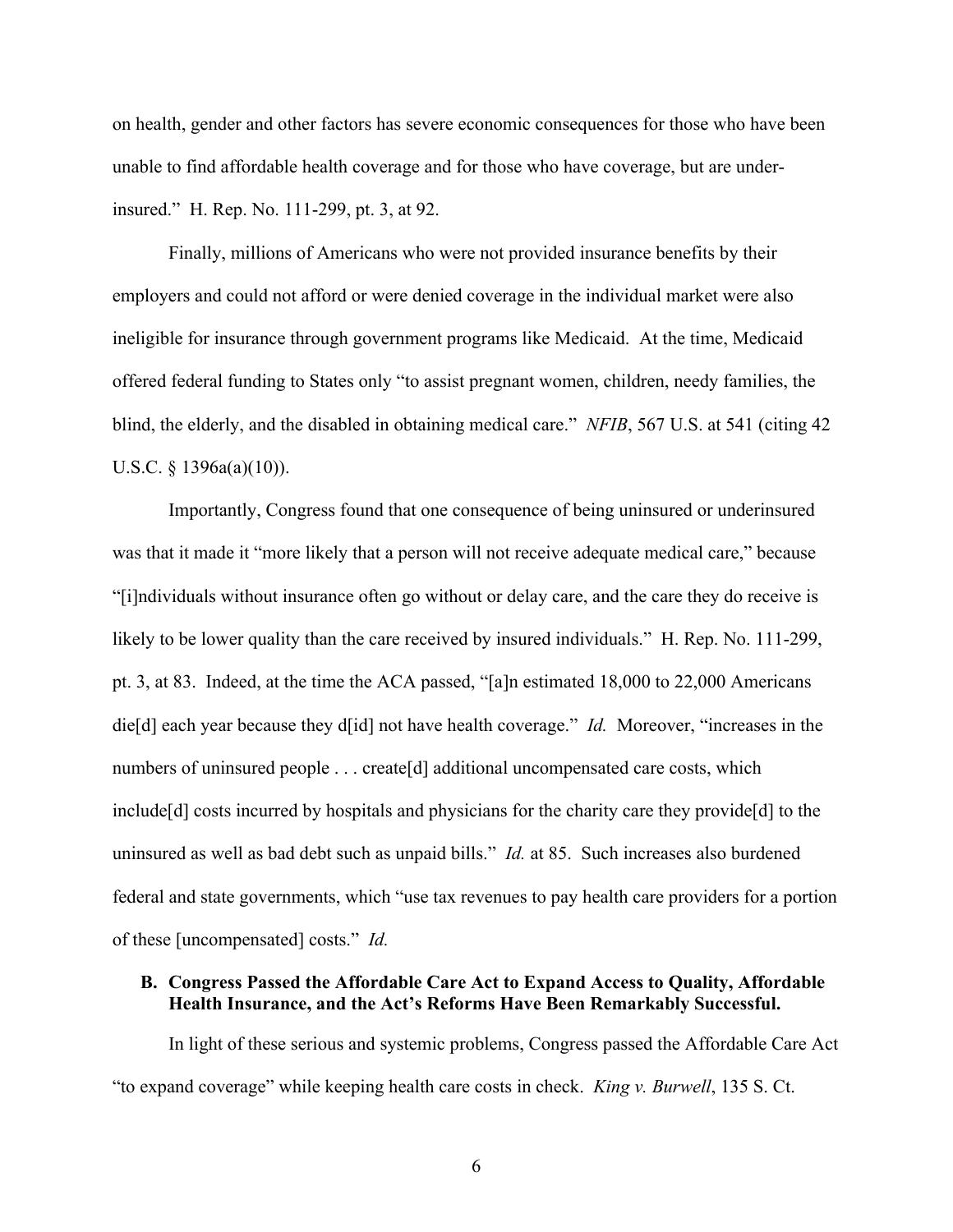on health, gender and other factors has severe economic consequences for those who have been unable to find affordable health coverage and for those who have coverage, but are underinsured." H. Rep. No. 111-299, pt. 3, at 92.

Finally, millions of Americans who were not provided insurance benefits by their employers and could not afford or were denied coverage in the individual market were also ineligible for insurance through government programs like Medicaid. At the time, Medicaid offered federal funding to States only "to assist pregnant women, children, needy families, the blind, the elderly, and the disabled in obtaining medical care." *NFIB*, 567 U.S. at 541 (citing 42 U.S.C. § 1396a(a)(10)).

Importantly, Congress found that one consequence of being uninsured or underinsured was that it made it "more likely that a person will not receive adequate medical care," because "[i]ndividuals without insurance often go without or delay care, and the care they do receive is likely to be lower quality than the care received by insured individuals." H. Rep. No. 111-299, pt. 3, at 83. Indeed, at the time the ACA passed, "[a]n estimated 18,000 to 22,000 Americans die[d] each year because they d[id] not have health coverage." *Id.* Moreover, "increases in the numbers of uninsured people . . . create[d] additional uncompensated care costs, which include[d] costs incurred by hospitals and physicians for the charity care they provide[d] to the uninsured as well as bad debt such as unpaid bills." *Id.* at 85. Such increases also burdened federal and state governments, which "use tax revenues to pay health care providers for a portion of these [uncompensated] costs." *Id.*

## **B. Congress Passed the Affordable Care Act to Expand Access to Quality, Affordable Health Insurance, and the Act's Reforms Have Been Remarkably Successful.**

In light of these serious and systemic problems, Congress passed the Affordable Care Act "to expand coverage" while keeping health care costs in check. *King v. Burwell*, 135 S. Ct.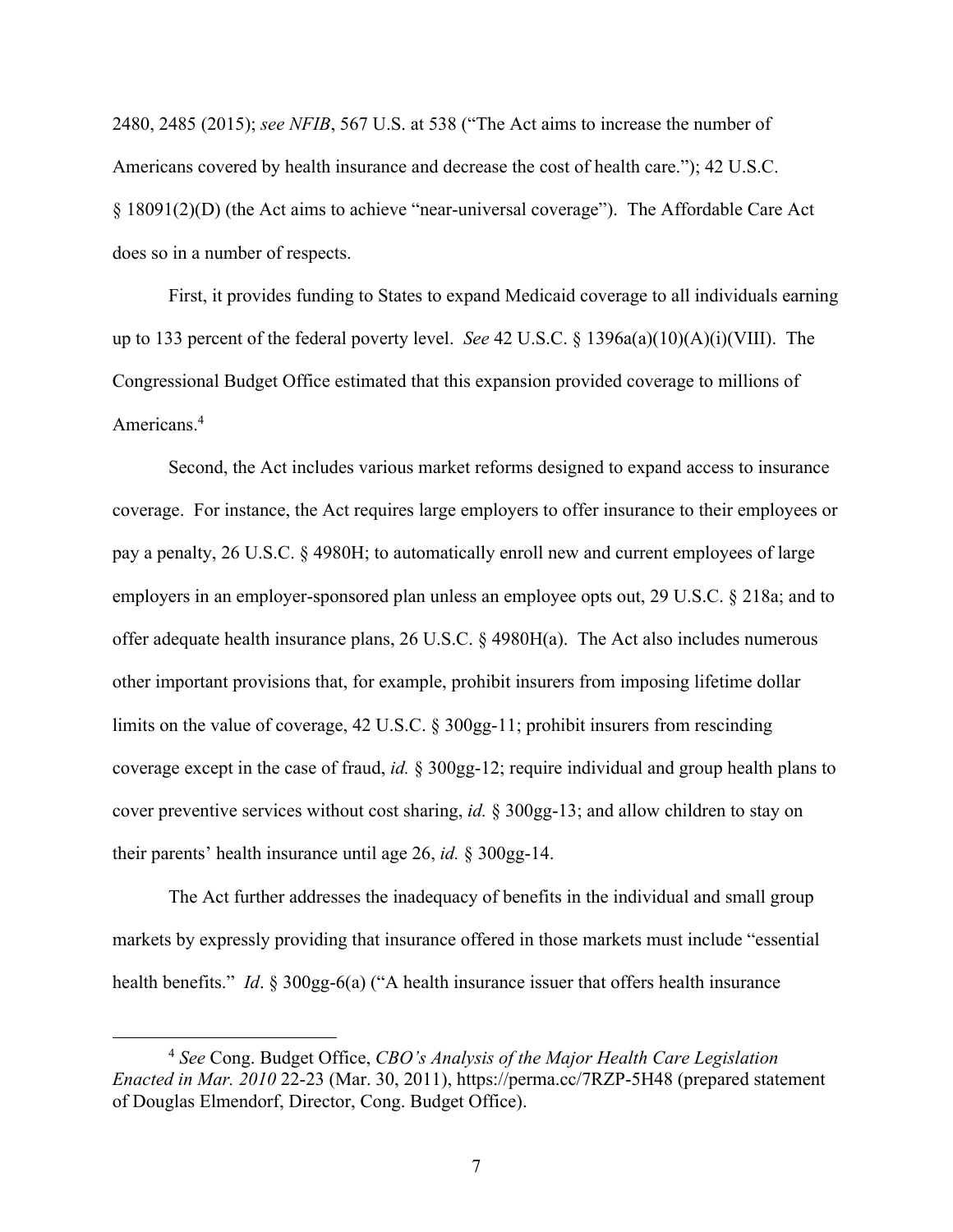2480, 2485 (2015); *see NFIB*, 567 U.S. at 538 ("The Act aims to increase the number of Americans covered by health insurance and decrease the cost of health care."); 42 U.S.C. § 18091(2)(D) (the Act aims to achieve "near-universal coverage"). The Affordable Care Act does so in a number of respects.

First, it provides funding to States to expand Medicaid coverage to all individuals earning up to 133 percent of the federal poverty level. *See* 42 U.S.C. § 1396a(a)(10)(A)(i)(VIII). The Congressional Budget Office estimated that this expansion provided coverage to millions of Americans. 4

Second, the Act includes various market reforms designed to expand access to insurance coverage. For instance, the Act requires large employers to offer insurance to their employees or pay a penalty, 26 U.S.C. § 4980H; to automatically enroll new and current employees of large employers in an employer-sponsored plan unless an employee opts out, 29 U.S.C. § 218a; and to offer adequate health insurance plans, 26 U.S.C. § 4980H(a). The Act also includes numerous other important provisions that, for example, prohibit insurers from imposing lifetime dollar limits on the value of coverage, 42 U.S.C. § 300gg-11; prohibit insurers from rescinding coverage except in the case of fraud, *id.* § 300gg-12; require individual and group health plans to cover preventive services without cost sharing, *id.* § 300gg-13; and allow children to stay on their parents' health insurance until age 26, *id.* § 300gg-14.

The Act further addresses the inadequacy of benefits in the individual and small group markets by expressly providing that insurance offered in those markets must include "essential health benefits." *Id.* § 300gg-6(a) ("A health insurance issuer that offers health insurance

<sup>4</sup> *See* Cong. Budget Office, *CBO's Analysis of the Major Health Care Legislation Enacted in Mar. 2010* 22-23 (Mar. 30, 2011), https://perma.cc/7RZP-5H48 (prepared statement of Douglas Elmendorf, Director, Cong. Budget Office).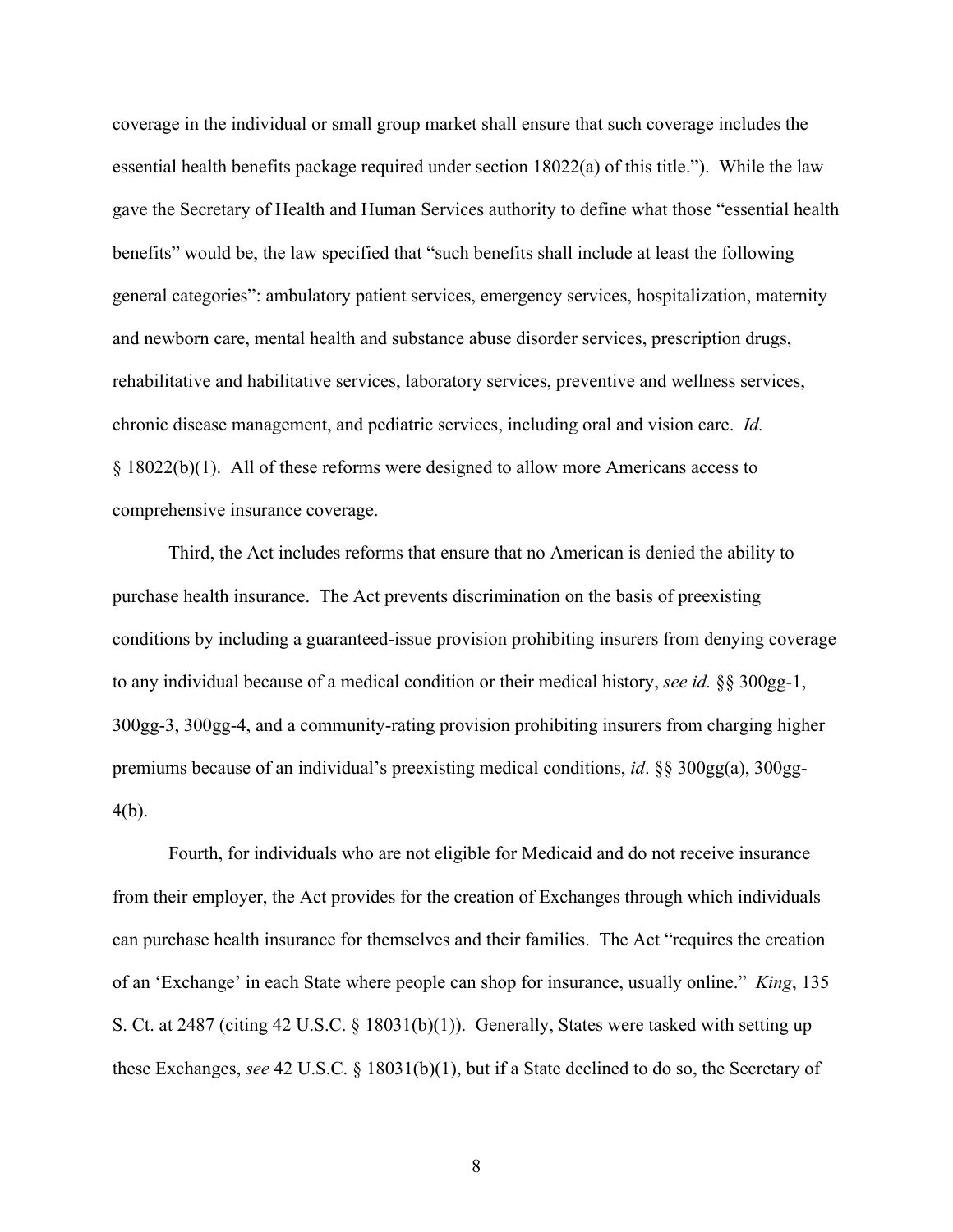coverage in the individual or small group market shall ensure that such coverage includes the essential health benefits package required under section 18022(a) of this title."). While the law gave the Secretary of Health and Human Services authority to define what those "essential health benefits" would be, the law specified that "such benefits shall include at least the following general categories": ambulatory patient services, emergency services, hospitalization, maternity and newborn care, mental health and substance abuse disorder services, prescription drugs, rehabilitative and habilitative services, laboratory services, preventive and wellness services, chronic disease management, and pediatric services, including oral and vision care. *Id.*  § 18022(b)(1). All of these reforms were designed to allow more Americans access to comprehensive insurance coverage.

Third, the Act includes reforms that ensure that no American is denied the ability to purchase health insurance. The Act prevents discrimination on the basis of preexisting conditions by including a guaranteed-issue provision prohibiting insurers from denying coverage to any individual because of a medical condition or their medical history, *see id.* §§ 300gg-1, 300gg-3, 300gg-4, and a community-rating provision prohibiting insurers from charging higher premiums because of an individual's preexisting medical conditions, *id*. §§ 300gg(a), 300gg-4(b).

Fourth, for individuals who are not eligible for Medicaid and do not receive insurance from their employer, the Act provides for the creation of Exchanges through which individuals can purchase health insurance for themselves and their families. The Act "requires the creation of an 'Exchange' in each State where people can shop for insurance, usually online." *King*, 135 S. Ct. at 2487 (citing 42 U.S.C. § 18031(b)(1)). Generally, States were tasked with setting up these Exchanges, *see* 42 U.S.C. § 18031(b)(1), but if a State declined to do so, the Secretary of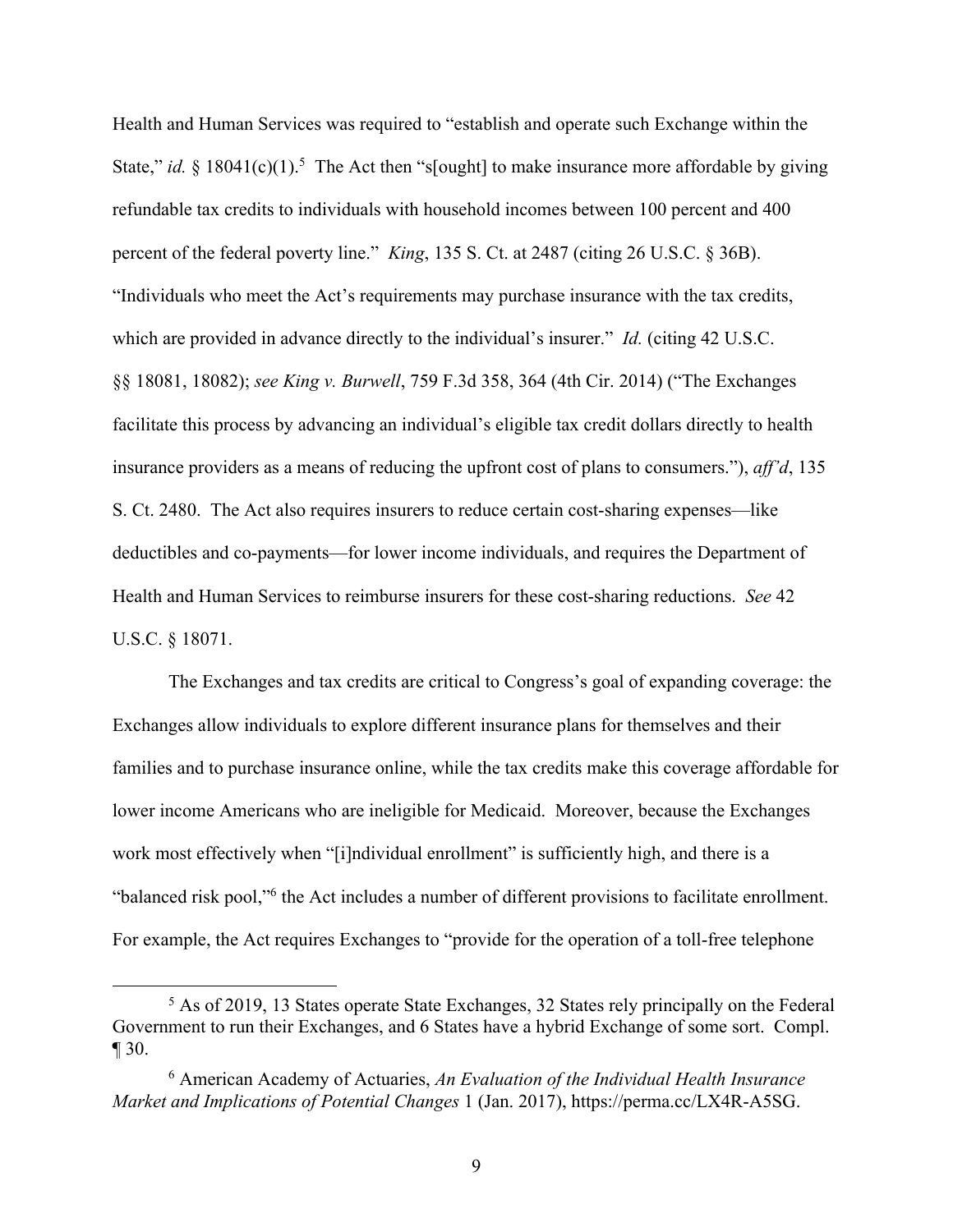Health and Human Services was required to "establish and operate such Exchange within the State," *id.* § 18041(c)(1).<sup>5</sup> The Act then "s[ought] to make insurance more affordable by giving refundable tax credits to individuals with household incomes between 100 percent and 400 percent of the federal poverty line." *King*, 135 S. Ct. at 2487 (citing 26 U.S.C. § 36B). "Individuals who meet the Act's requirements may purchase insurance with the tax credits, which are provided in advance directly to the individual's insurer." *Id.* (citing 42 U.S.C. §§ 18081, 18082); *see King v. Burwell*, 759 F.3d 358, 364 (4th Cir. 2014) ("The Exchanges facilitate this process by advancing an individual's eligible tax credit dollars directly to health insurance providers as a means of reducing the upfront cost of plans to consumers."), *aff'd*, 135 S. Ct. 2480. The Act also requires insurers to reduce certain cost-sharing expenses—like deductibles and co-payments—for lower income individuals, and requires the Department of Health and Human Services to reimburse insurers for these cost-sharing reductions. *See* 42 U.S.C. § 18071.

The Exchanges and tax credits are critical to Congress's goal of expanding coverage: the Exchanges allow individuals to explore different insurance plans for themselves and their families and to purchase insurance online, while the tax credits make this coverage affordable for lower income Americans who are ineligible for Medicaid. Moreover, because the Exchanges work most effectively when "[i]ndividual enrollment" is sufficiently high, and there is a "balanced risk pool,"6 the Act includes a number of different provisions to facilitate enrollment. For example, the Act requires Exchanges to "provide for the operation of a toll-free telephone

<sup>5</sup> As of 2019, 13 States operate State Exchanges, 32 States rely principally on the Federal Government to run their Exchanges, and 6 States have a hybrid Exchange of some sort. Compl. ¶ 30.

<sup>6</sup> American Academy of Actuaries, *An Evaluation of the Individual Health Insurance Market and Implications of Potential Changes* 1 (Jan. 2017), https://perma.cc/LX4R-A5SG.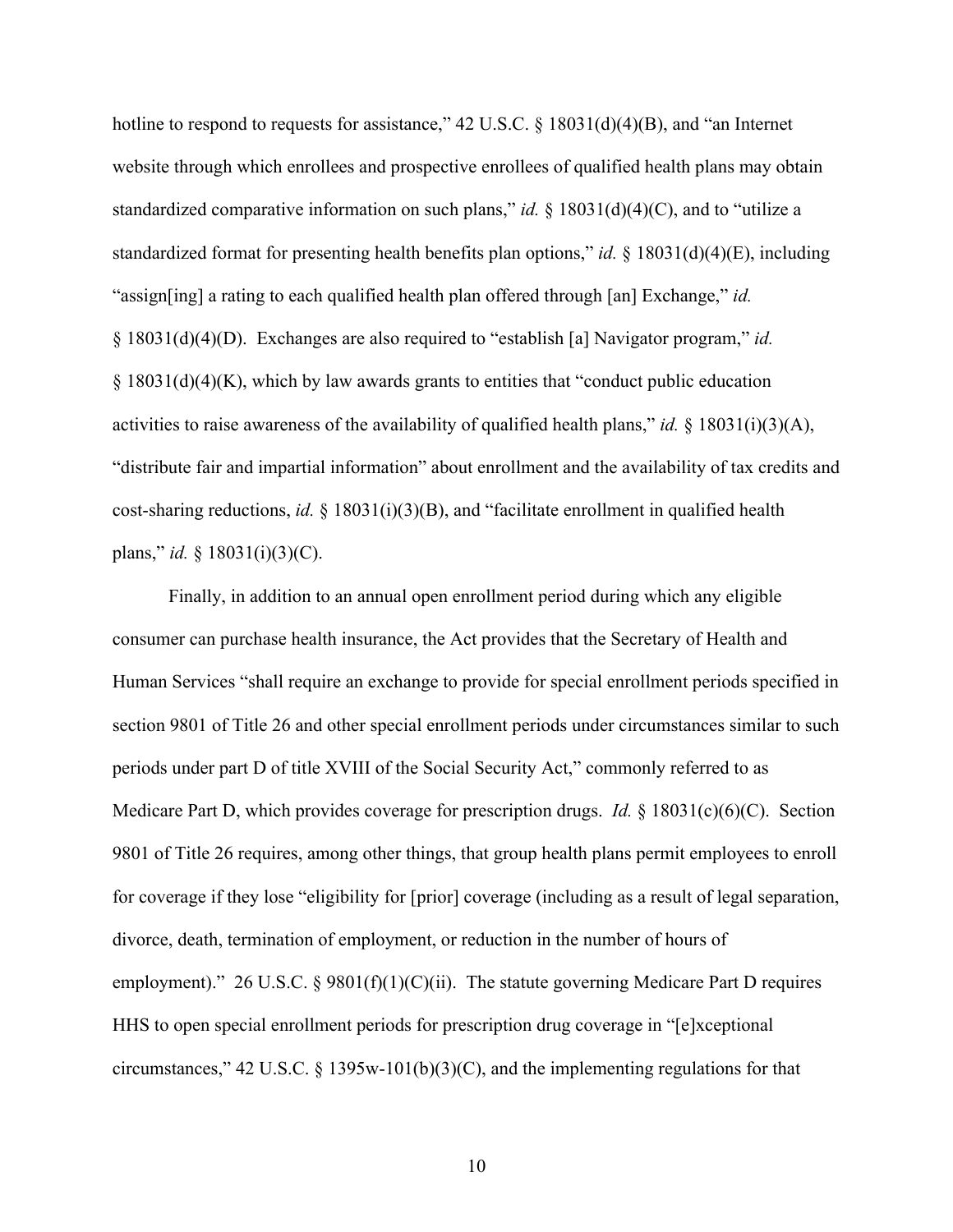hotline to respond to requests for assistance," 42 U.S.C. § 18031(d)(4)(B), and "an Internet website through which enrollees and prospective enrollees of qualified health plans may obtain standardized comparative information on such plans," *id.* § 18031(d)(4)(C), and to "utilize a standardized format for presenting health benefits plan options," *id.* § 18031(d)(4)(E), including "assign[ing] a rating to each qualified health plan offered through [an] Exchange," *id.* § 18031(d)(4)(D). Exchanges are also required to "establish [a] Navigator program," *id.* § 18031(d)(4)(K), which by law awards grants to entities that "conduct public education activities to raise awareness of the availability of qualified health plans," *id.* § 18031(i)(3)(A), "distribute fair and impartial information" about enrollment and the availability of tax credits and cost-sharing reductions, *id.* § 18031(i)(3)(B), and "facilitate enrollment in qualified health plans," *id.* § 18031(i)(3)(C).

Finally, in addition to an annual open enrollment period during which any eligible consumer can purchase health insurance, the Act provides that the Secretary of Health and Human Services "shall require an exchange to provide for special enrollment periods specified in section 9801 of Title 26 and other special enrollment periods under circumstances similar to such periods under part D of title XVIII of the Social Security Act," commonly referred to as Medicare Part D, which provides coverage for prescription drugs. *Id.* § 18031(c)(6)(C). Section 9801 of Title 26 requires, among other things, that group health plans permit employees to enroll for coverage if they lose "eligibility for [prior] coverage (including as a result of legal separation, divorce, death, termination of employment, or reduction in the number of hours of employment)." 26 U.S.C. § 9801(f)(1)(C)(ii). The statute governing Medicare Part D requires HHS to open special enrollment periods for prescription drug coverage in "[e]xceptional circumstances," 42 U.S.C. § 1395w-101(b)(3)(C), and the implementing regulations for that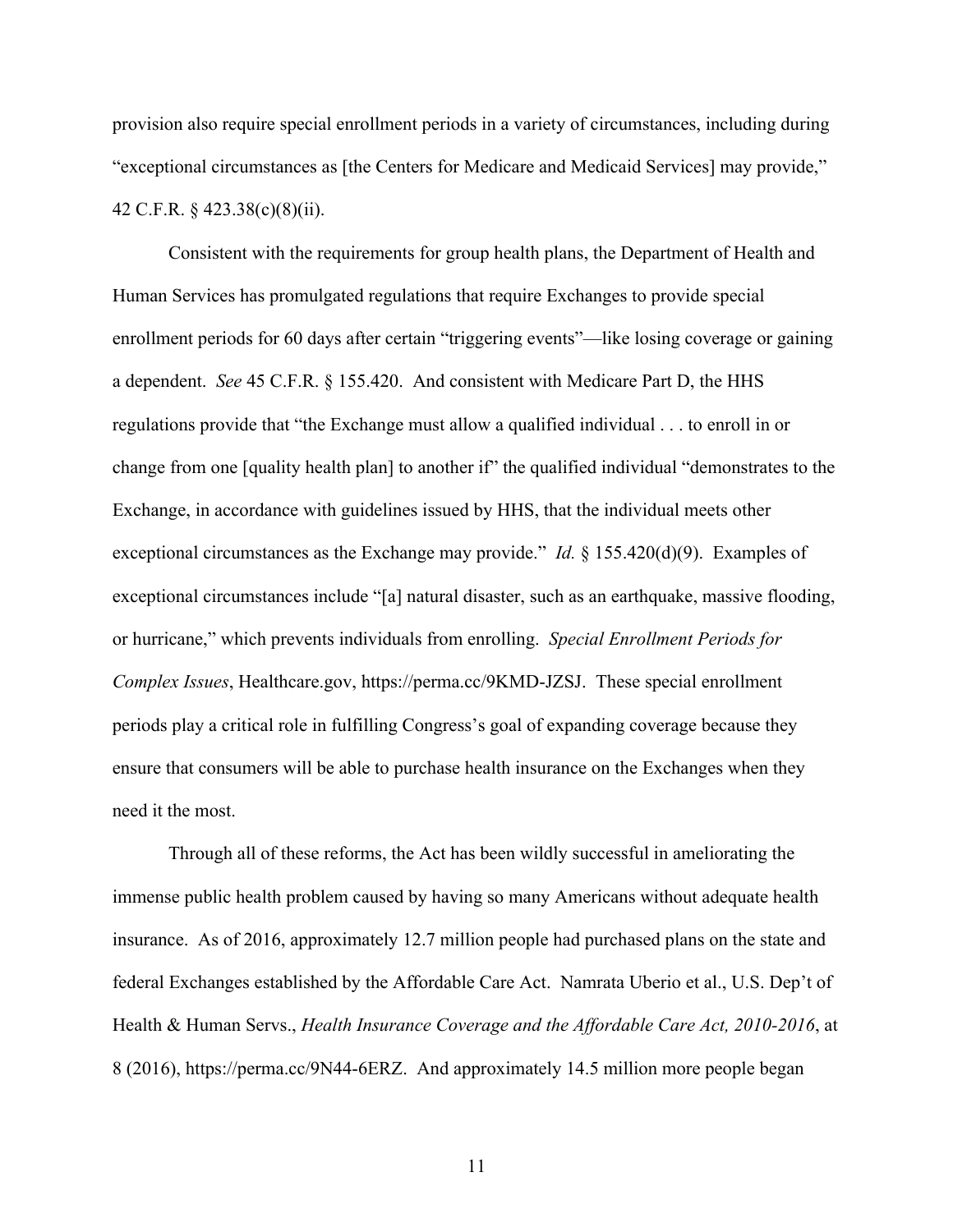provision also require special enrollment periods in a variety of circumstances, including during "exceptional circumstances as [the Centers for Medicare and Medicaid Services] may provide," 42 C.F.R. § 423.38(c)(8)(ii).

Consistent with the requirements for group health plans, the Department of Health and Human Services has promulgated regulations that require Exchanges to provide special enrollment periods for 60 days after certain "triggering events"—like losing coverage or gaining a dependent. *See* 45 C.F.R. § 155.420. And consistent with Medicare Part D, the HHS regulations provide that "the Exchange must allow a qualified individual . . . to enroll in or change from one [quality health plan] to another if" the qualified individual "demonstrates to the Exchange, in accordance with guidelines issued by HHS, that the individual meets other exceptional circumstances as the Exchange may provide." *Id.* § 155.420(d)(9). Examples of exceptional circumstances include "[a] natural disaster, such as an earthquake, massive flooding, or hurricane," which prevents individuals from enrolling. *Special Enrollment Periods for Complex Issues*, Healthcare.gov, https://perma.cc/9KMD-JZSJ. These special enrollment periods play a critical role in fulfilling Congress's goal of expanding coverage because they ensure that consumers will be able to purchase health insurance on the Exchanges when they need it the most.

Through all of these reforms, the Act has been wildly successful in ameliorating the immense public health problem caused by having so many Americans without adequate health insurance. As of 2016, approximately 12.7 million people had purchased plans on the state and federal Exchanges established by the Affordable Care Act. Namrata Uberio et al., U.S. Dep't of Health & Human Servs., *Health Insurance Coverage and the Affordable Care Act, 2010-2016*, at 8 (2016), https://perma.cc/9N44-6ERZ. And approximately 14.5 million more people began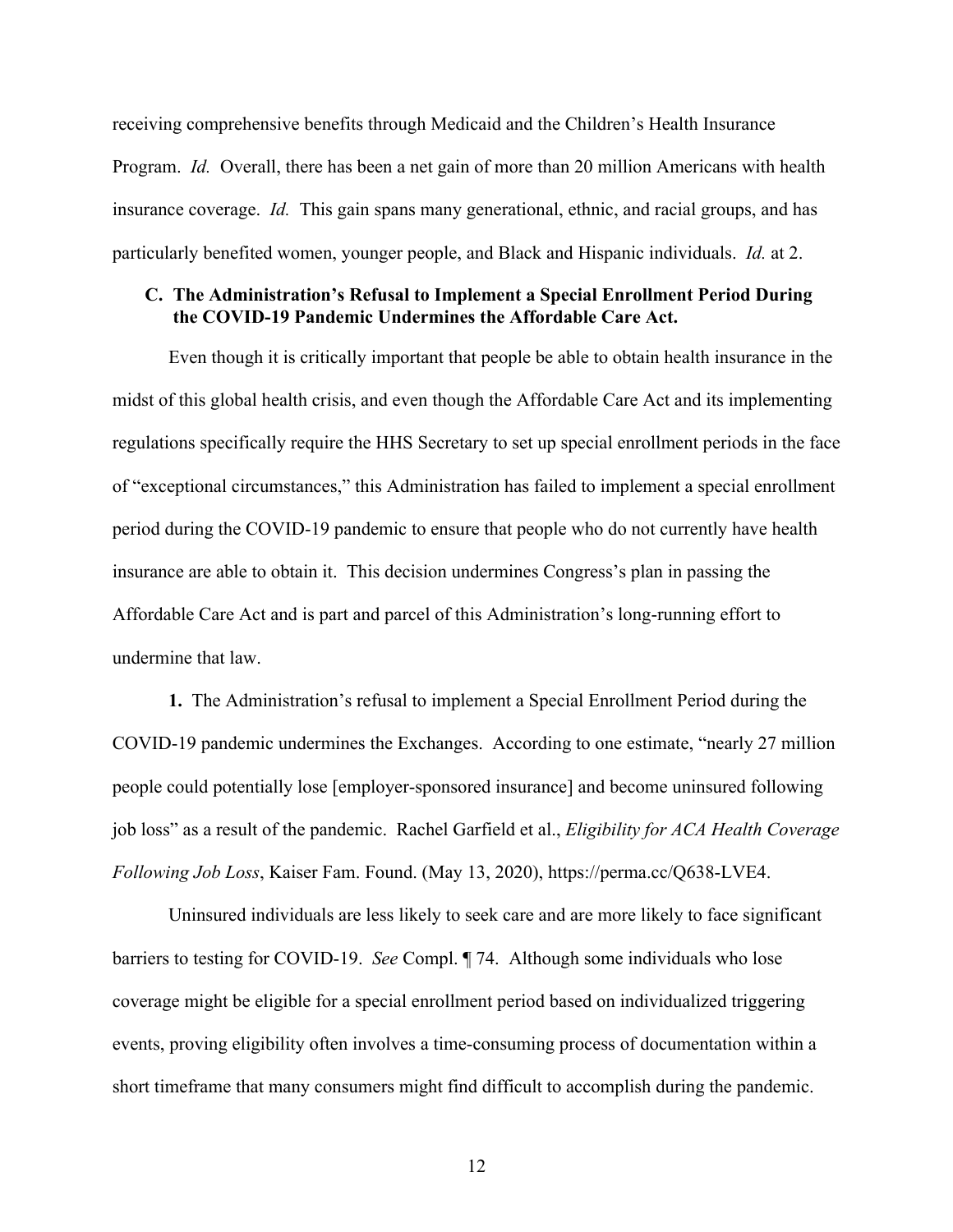receiving comprehensive benefits through Medicaid and the Children's Health Insurance Program. *Id.* Overall, there has been a net gain of more than 20 million Americans with health insurance coverage. *Id.* This gain spans many generational, ethnic, and racial groups, and has particularly benefited women, younger people, and Black and Hispanic individuals. *Id.* at 2.

## **C. The Administration's Refusal to Implement a Special Enrollment Period During the COVID-19 Pandemic Undermines the Affordable Care Act.**

Even though it is critically important that people be able to obtain health insurance in the midst of this global health crisis, and even though the Affordable Care Act and its implementing regulations specifically require the HHS Secretary to set up special enrollment periods in the face of "exceptional circumstances," this Administration has failed to implement a special enrollment period during the COVID-19 pandemic to ensure that people who do not currently have health insurance are able to obtain it. This decision undermines Congress's plan in passing the Affordable Care Act and is part and parcel of this Administration's long-running effort to undermine that law.

**1.** The Administration's refusal to implement a Special Enrollment Period during the COVID-19 pandemic undermines the Exchanges. According to one estimate, "nearly 27 million people could potentially lose [employer-sponsored insurance] and become uninsured following job loss" as a result of the pandemic. Rachel Garfield et al., *Eligibility for ACA Health Coverage Following Job Loss*, Kaiser Fam. Found. (May 13, 2020), https://perma.cc/Q638-LVE4.

Uninsured individuals are less likely to seek care and are more likely to face significant barriers to testing for COVID-19. *See* Compl. ¶ 74. Although some individuals who lose coverage might be eligible for a special enrollment period based on individualized triggering events, proving eligibility often involves a time-consuming process of documentation within a short timeframe that many consumers might find difficult to accomplish during the pandemic.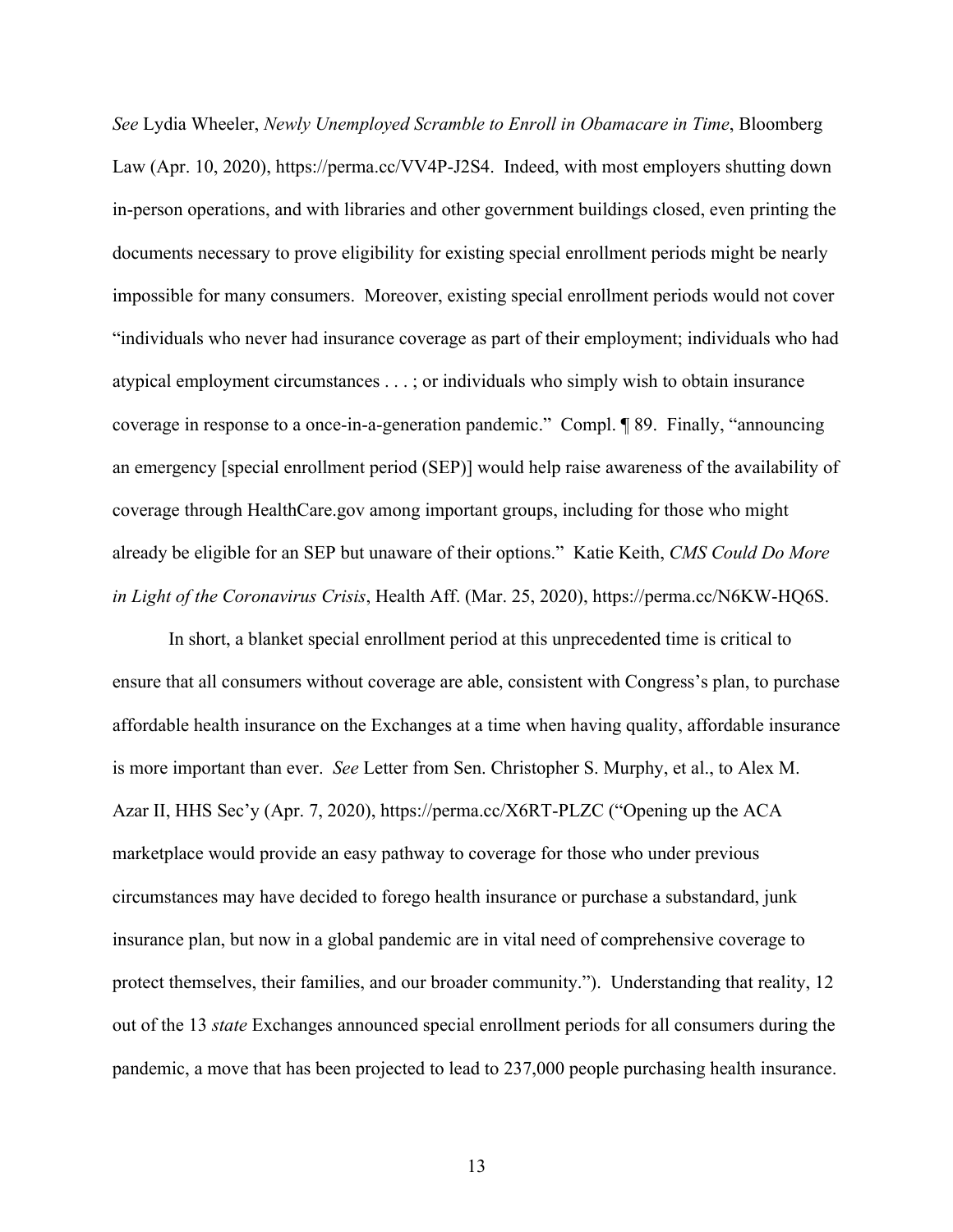*See* Lydia Wheeler, *Newly Unemployed Scramble to Enroll in Obamacare in Time*, Bloomberg Law (Apr. 10, 2020), https://perma.cc/VV4P-J2S4. Indeed, with most employers shutting down in-person operations, and with libraries and other government buildings closed, even printing the documents necessary to prove eligibility for existing special enrollment periods might be nearly impossible for many consumers. Moreover, existing special enrollment periods would not cover "individuals who never had insurance coverage as part of their employment; individuals who had atypical employment circumstances . . . ; or individuals who simply wish to obtain insurance coverage in response to a once-in-a-generation pandemic." Compl. ¶ 89. Finally, "announcing an emergency [special enrollment period (SEP)] would help raise awareness of the availability of coverage through HealthCare.gov among important groups, including for those who might already be eligible for an SEP but unaware of their options." Katie Keith, *CMS Could Do More in Light of the Coronavirus Crisis*, Health Aff. (Mar. 25, 2020), https://perma.cc/N6KW-HQ6S.

In short, a blanket special enrollment period at this unprecedented time is critical to ensure that all consumers without coverage are able, consistent with Congress's plan, to purchase affordable health insurance on the Exchanges at a time when having quality, affordable insurance is more important than ever. *See* Letter from Sen. Christopher S. Murphy, et al., to Alex M. Azar II, HHS Sec'y (Apr. 7, 2020), https://perma.cc/X6RT-PLZC ("Opening up the ACA marketplace would provide an easy pathway to coverage for those who under previous circumstances may have decided to forego health insurance or purchase a substandard, junk insurance plan, but now in a global pandemic are in vital need of comprehensive coverage to protect themselves, their families, and our broader community."). Understanding that reality, 12 out of the 13 *state* Exchanges announced special enrollment periods for all consumers during the pandemic, a move that has been projected to lead to 237,000 people purchasing health insurance.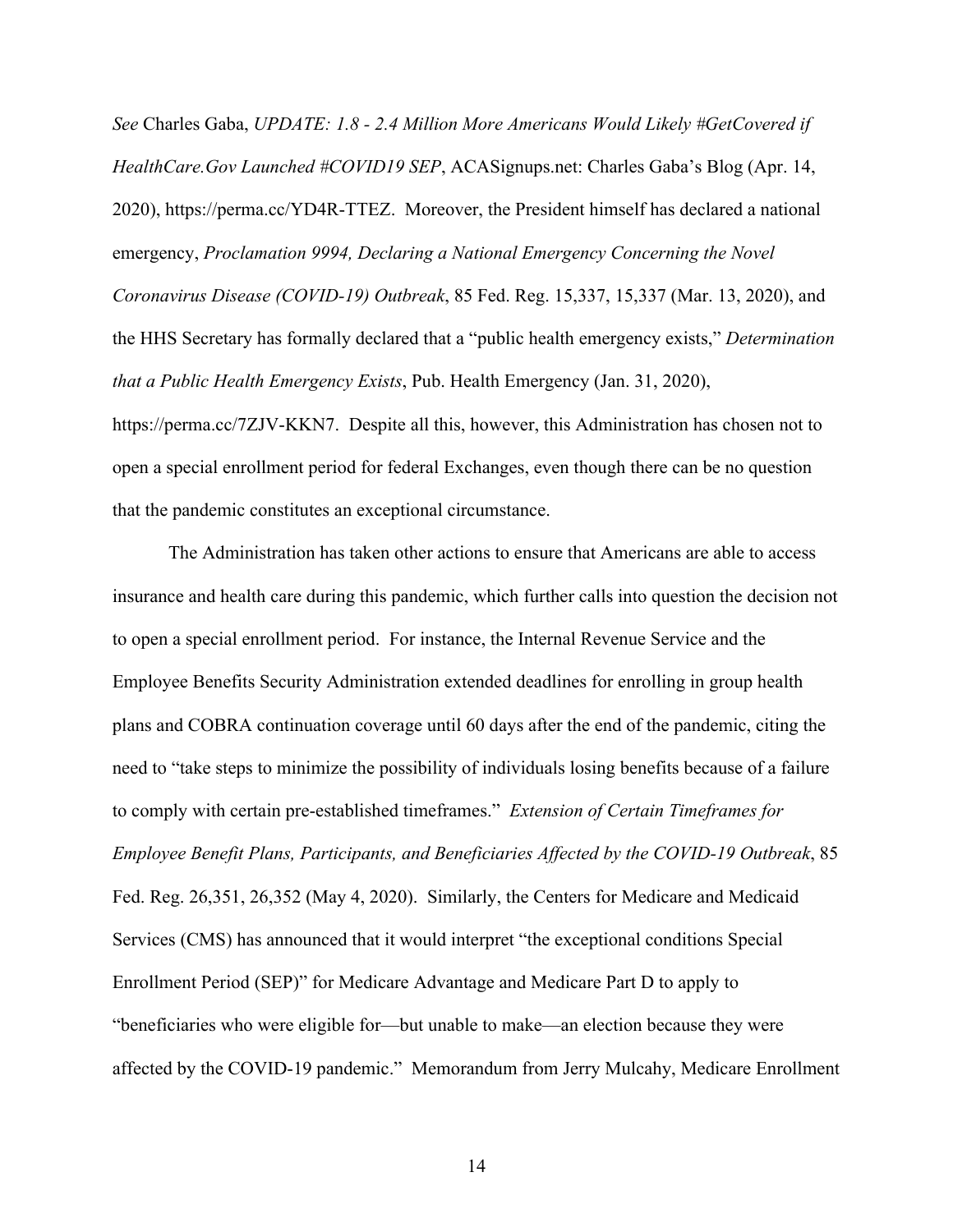*See* Charles Gaba, *UPDATE: 1.8 - 2.4 Million More Americans Would Likely #GetCovered if HealthCare.Gov Launched #COVID19 SEP*, ACASignups.net: Charles Gaba's Blog (Apr. 14, 2020), https://perma.cc/YD4R-TTEZ. Moreover, the President himself has declared a national emergency, *Proclamation 9994, Declaring a National Emergency Concerning the Novel Coronavirus Disease (COVID-19) Outbreak*, 85 Fed. Reg. 15,337, 15,337 (Mar. 13, 2020), and the HHS Secretary has formally declared that a "public health emergency exists," *Determination that a Public Health Emergency Exists*, Pub. Health Emergency (Jan. 31, 2020), https://perma.cc/7ZJV-KKN7. Despite all this, however, this Administration has chosen not to open a special enrollment period for federal Exchanges, even though there can be no question that the pandemic constitutes an exceptional circumstance.

The Administration has taken other actions to ensure that Americans are able to access insurance and health care during this pandemic, which further calls into question the decision not to open a special enrollment period. For instance, the Internal Revenue Service and the Employee Benefits Security Administration extended deadlines for enrolling in group health plans and COBRA continuation coverage until 60 days after the end of the pandemic, citing the need to "take steps to minimize the possibility of individuals losing benefits because of a failure to comply with certain pre-established timeframes." *Extension of Certain Timeframes for Employee Benefit Plans, Participants, and Beneficiaries Affected by the COVID-19 Outbreak*, 85 Fed. Reg. 26,351, 26,352 (May 4, 2020). Similarly, the Centers for Medicare and Medicaid Services (CMS) has announced that it would interpret "the exceptional conditions Special Enrollment Period (SEP)" for Medicare Advantage and Medicare Part D to apply to "beneficiaries who were eligible for—but unable to make—an election because they were affected by the COVID-19 pandemic." Memorandum from Jerry Mulcahy, Medicare Enrollment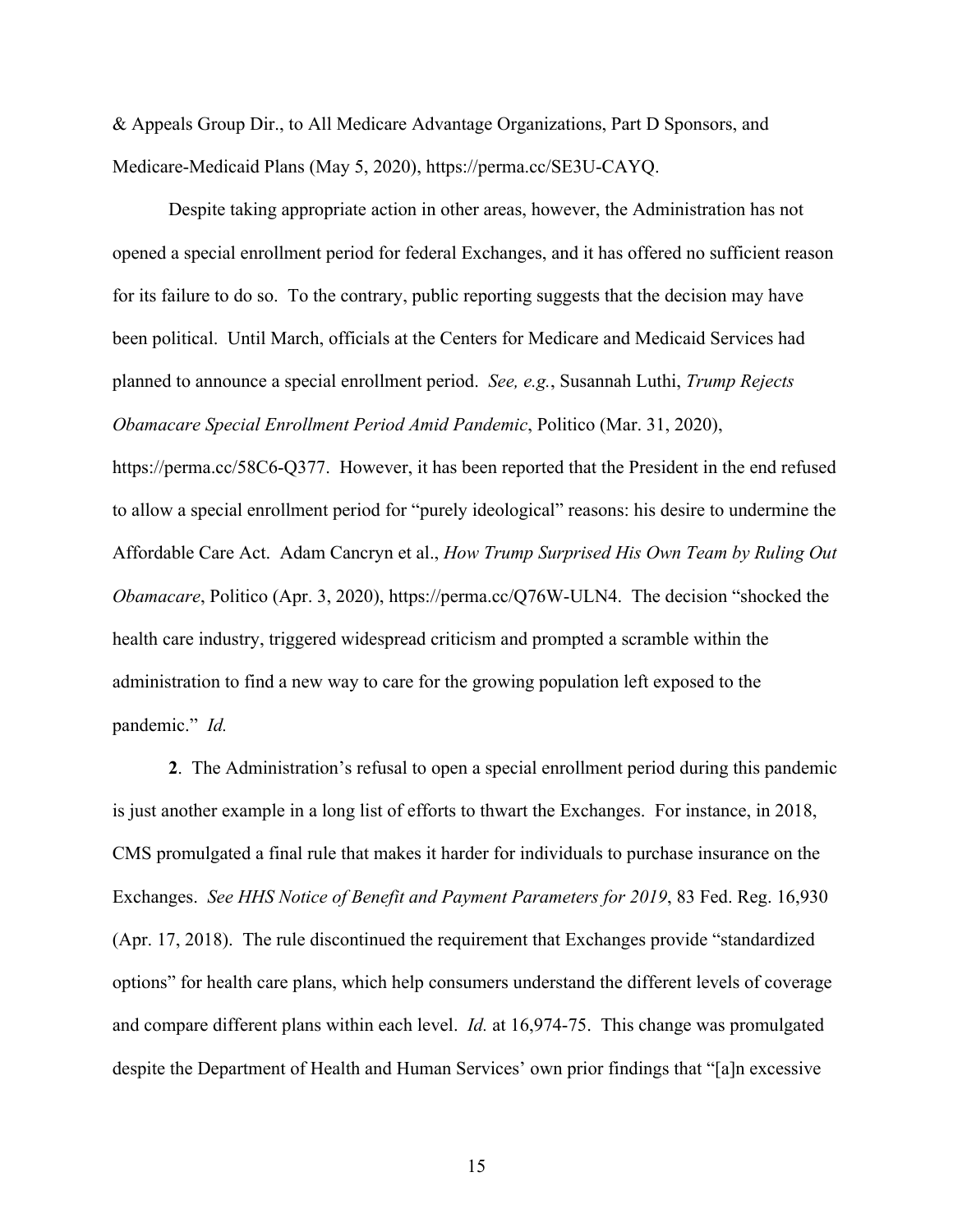& Appeals Group Dir., to All Medicare Advantage Organizations, Part D Sponsors, and Medicare-Medicaid Plans (May 5, 2020), https://perma.cc/SE3U-CAYQ.

Despite taking appropriate action in other areas, however, the Administration has not opened a special enrollment period for federal Exchanges, and it has offered no sufficient reason for its failure to do so. To the contrary, public reporting suggests that the decision may have been political. Until March, officials at the Centers for Medicare and Medicaid Services had planned to announce a special enrollment period. *See, e.g.*, Susannah Luthi, *Trump Rejects Obamacare Special Enrollment Period Amid Pandemic*, Politico (Mar. 31, 2020),

https://perma.cc/58C6-Q377. However, it has been reported that the President in the end refused to allow a special enrollment period for "purely ideological" reasons: his desire to undermine the Affordable Care Act. Adam Cancryn et al., *How Trump Surprised His Own Team by Ruling Out Obamacare*, Politico (Apr. 3, 2020), https://perma.cc/Q76W-ULN4. The decision "shocked the health care industry, triggered widespread criticism and prompted a scramble within the administration to find a new way to care for the growing population left exposed to the pandemic." *Id.*

**2**. The Administration's refusal to open a special enrollment period during this pandemic is just another example in a long list of efforts to thwart the Exchanges. For instance, in 2018, CMS promulgated a final rule that makes it harder for individuals to purchase insurance on the Exchanges. *See HHS Notice of Benefit and Payment Parameters for 2019*, 83 Fed. Reg. 16,930 (Apr. 17, 2018). The rule discontinued the requirement that Exchanges provide "standardized options" for health care plans, which help consumers understand the different levels of coverage and compare different plans within each level. *Id.* at 16,974-75. This change was promulgated despite the Department of Health and Human Services' own prior findings that "[a]n excessive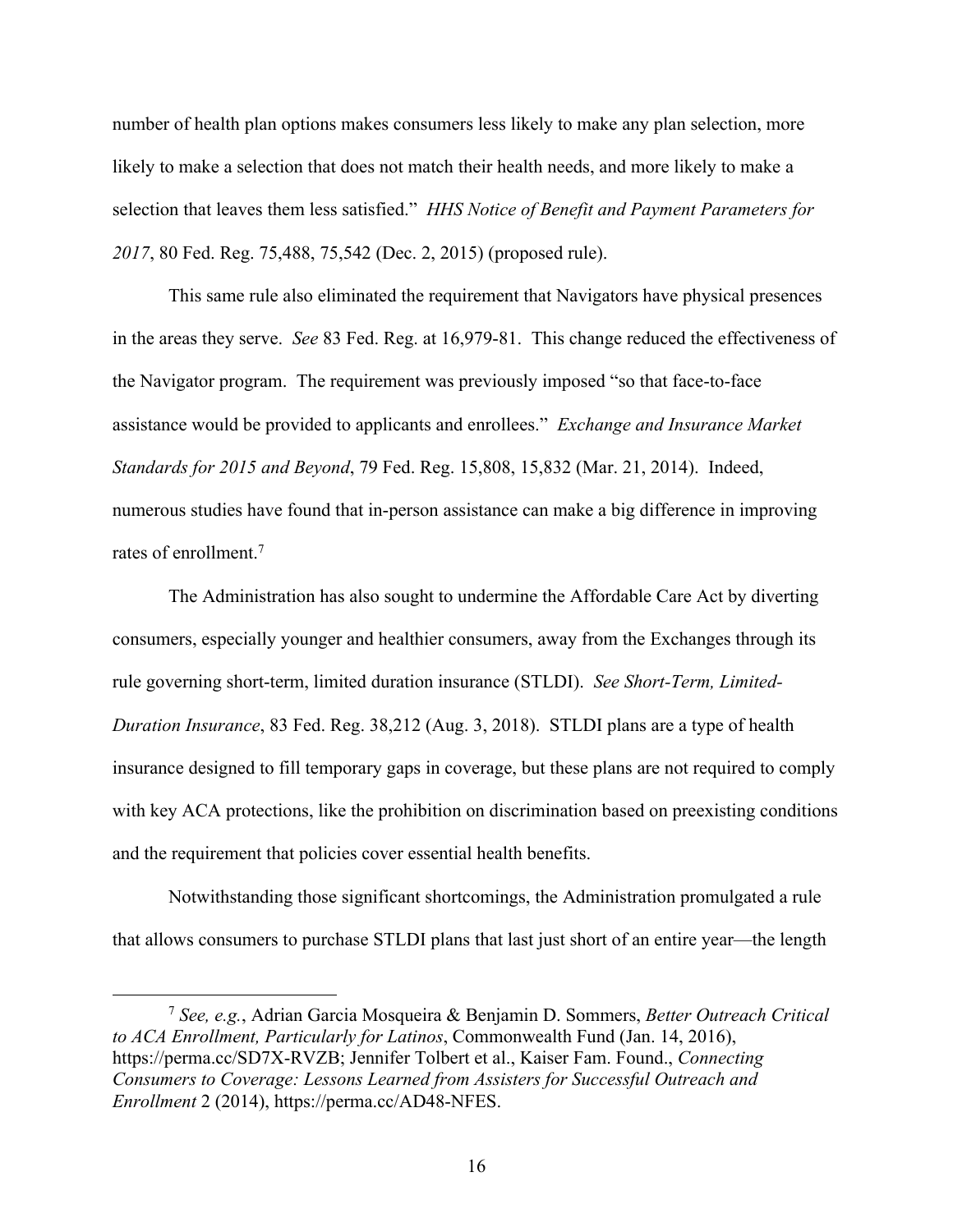number of health plan options makes consumers less likely to make any plan selection, more likely to make a selection that does not match their health needs, and more likely to make a selection that leaves them less satisfied." *HHS Notice of Benefit and Payment Parameters for 2017*, 80 Fed. Reg. 75,488, 75,542 (Dec. 2, 2015) (proposed rule).

This same rule also eliminated the requirement that Navigators have physical presences in the areas they serve. *See* 83 Fed. Reg. at 16,979-81. This change reduced the effectiveness of the Navigator program. The requirement was previously imposed "so that face-to-face assistance would be provided to applicants and enrollees." *Exchange and Insurance Market Standards for 2015 and Beyond*, 79 Fed. Reg. 15,808, 15,832 (Mar. 21, 2014). Indeed, numerous studies have found that in-person assistance can make a big difference in improving rates of enrollment.7

The Administration has also sought to undermine the Affordable Care Act by diverting consumers, especially younger and healthier consumers, away from the Exchanges through its rule governing short-term, limited duration insurance (STLDI). *See Short-Term, Limited-Duration Insurance*, 83 Fed. Reg. 38,212 (Aug. 3, 2018). STLDI plans are a type of health insurance designed to fill temporary gaps in coverage, but these plans are not required to comply with key ACA protections, like the prohibition on discrimination based on preexisting conditions and the requirement that policies cover essential health benefits.

Notwithstanding those significant shortcomings, the Administration promulgated a rule that allows consumers to purchase STLDI plans that last just short of an entire year—the length

<sup>7</sup> *See, e.g.*, Adrian Garcia Mosqueira & Benjamin D. Sommers, *Better Outreach Critical to ACA Enrollment, Particularly for Latinos*, Commonwealth Fund (Jan. 14, 2016), https://perma.cc/SD7X-RVZB; Jennifer Tolbert et al., Kaiser Fam. Found., *Connecting Consumers to Coverage: Lessons Learned from Assisters for Successful Outreach and Enrollment* 2 (2014), https://perma.cc/AD48-NFES.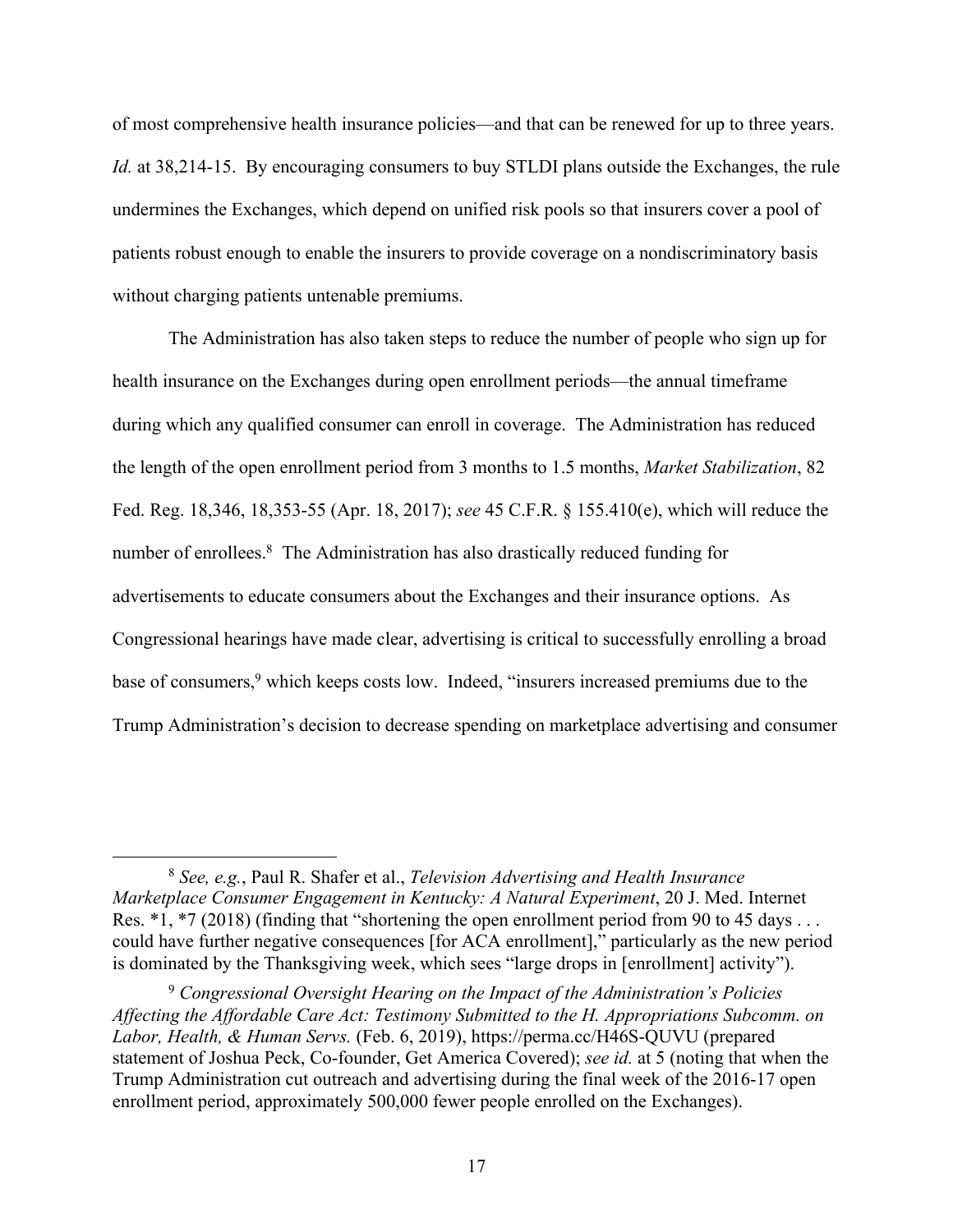of most comprehensive health insurance policies—and that can be renewed for up to three years. *Id.* at 38,214-15. By encouraging consumers to buy STLDI plans outside the Exchanges, the rule undermines the Exchanges, which depend on unified risk pools so that insurers cover a pool of patients robust enough to enable the insurers to provide coverage on a nondiscriminatory basis without charging patients untenable premiums.

The Administration has also taken steps to reduce the number of people who sign up for health insurance on the Exchanges during open enrollment periods—the annual timeframe during which any qualified consumer can enroll in coverage. The Administration has reduced the length of the open enrollment period from 3 months to 1.5 months, *Market Stabilization*, 82 Fed. Reg. 18,346, 18,353-55 (Apr. 18, 2017); *see* 45 C.F.R. § 155.410(e), which will reduce the number of enrollees.<sup>8</sup> The Administration has also drastically reduced funding for advertisements to educate consumers about the Exchanges and their insurance options. As Congressional hearings have made clear, advertising is critical to successfully enrolling a broad base of consumers,<sup>9</sup> which keeps costs low. Indeed, "insurers increased premiums due to the Trump Administration's decision to decrease spending on marketplace advertising and consumer

<sup>8</sup> *See, e.g.*, Paul R. Shafer et al., *Television Advertising and Health Insurance Marketplace Consumer Engagement in Kentucky: A Natural Experiment*, 20 J. Med. Internet Res. \*1, \*7 (2018) (finding that "shortening the open enrollment period from 90 to 45 days ... could have further negative consequences [for ACA enrollment]," particularly as the new period is dominated by the Thanksgiving week, which sees "large drops in [enrollment] activity").

<sup>9</sup> *Congressional Oversight Hearing on the Impact of the Administration's Policies Affecting the Affordable Care Act: Testimony Submitted to the H. Appropriations Subcomm. on Labor, Health, & Human Servs.* (Feb. 6, 2019), https://perma.cc/H46S-QUVU (prepared statement of Joshua Peck, Co-founder, Get America Covered); *see id.* at 5 (noting that when the Trump Administration cut outreach and advertising during the final week of the 2016-17 open enrollment period, approximately 500,000 fewer people enrolled on the Exchanges).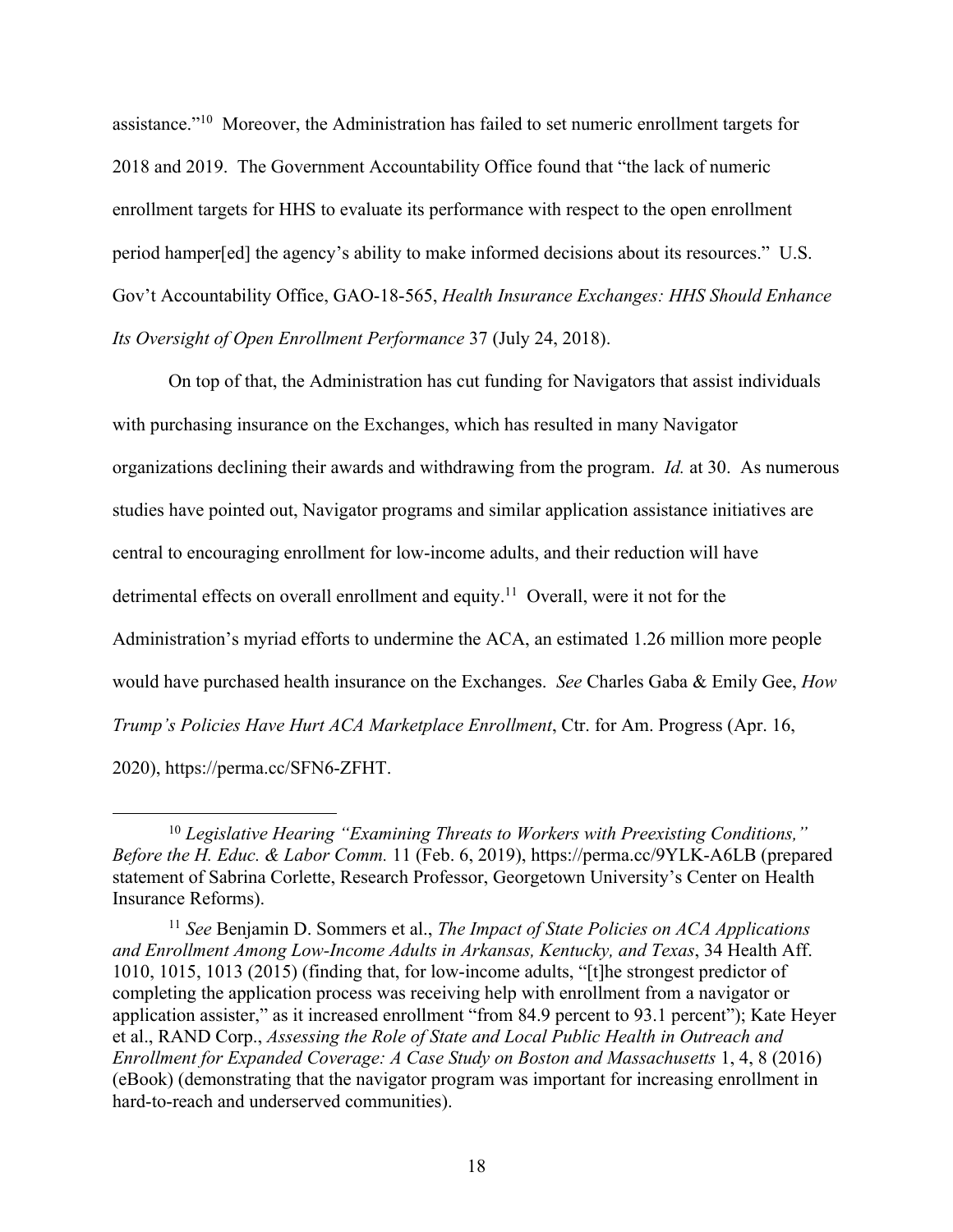assistance."10 Moreover, the Administration has failed to set numeric enrollment targets for 2018 and 2019. The Government Accountability Office found that "the lack of numeric enrollment targets for HHS to evaluate its performance with respect to the open enrollment period hamper[ed] the agency's ability to make informed decisions about its resources." U.S. Gov't Accountability Office, GAO-18-565, *Health Insurance Exchanges: HHS Should Enhance Its Oversight of Open Enrollment Performance* 37 (July 24, 2018).

On top of that, the Administration has cut funding for Navigators that assist individuals with purchasing insurance on the Exchanges, which has resulted in many Navigator organizations declining their awards and withdrawing from the program. *Id.* at 30. As numerous studies have pointed out, Navigator programs and similar application assistance initiatives are central to encouraging enrollment for low-income adults, and their reduction will have detrimental effects on overall enrollment and equity.<sup>11</sup> Overall, were it not for the Administration's myriad efforts to undermine the ACA, an estimated 1.26 million more people would have purchased health insurance on the Exchanges. *See* Charles Gaba & Emily Gee, *How Trump's Policies Have Hurt ACA Marketplace Enrollment*, Ctr. for Am. Progress (Apr. 16, 2020), https://perma.cc/SFN6-ZFHT.

<sup>10</sup> *Legislative Hearing "Examining Threats to Workers with Preexisting Conditions," Before the H. Educ. & Labor Comm.* 11 (Feb. 6, 2019), https://perma.cc/9YLK-A6LB (prepared statement of Sabrina Corlette, Research Professor, Georgetown University's Center on Health Insurance Reforms).

<sup>11</sup> *See* Benjamin D. Sommers et al., *The Impact of State Policies on ACA Applications and Enrollment Among Low-Income Adults in Arkansas, Kentucky, and Texas*, 34 Health Aff. 1010, 1015, 1013 (2015) (finding that, for low-income adults, "[t]he strongest predictor of completing the application process was receiving help with enrollment from a navigator or application assister," as it increased enrollment "from 84.9 percent to 93.1 percent"); Kate Heyer et al., RAND Corp., *Assessing the Role of State and Local Public Health in Outreach and Enrollment for Expanded Coverage: A Case Study on Boston and Massachusetts* 1, 4, 8 (2016) (eBook) (demonstrating that the navigator program was important for increasing enrollment in hard-to-reach and underserved communities).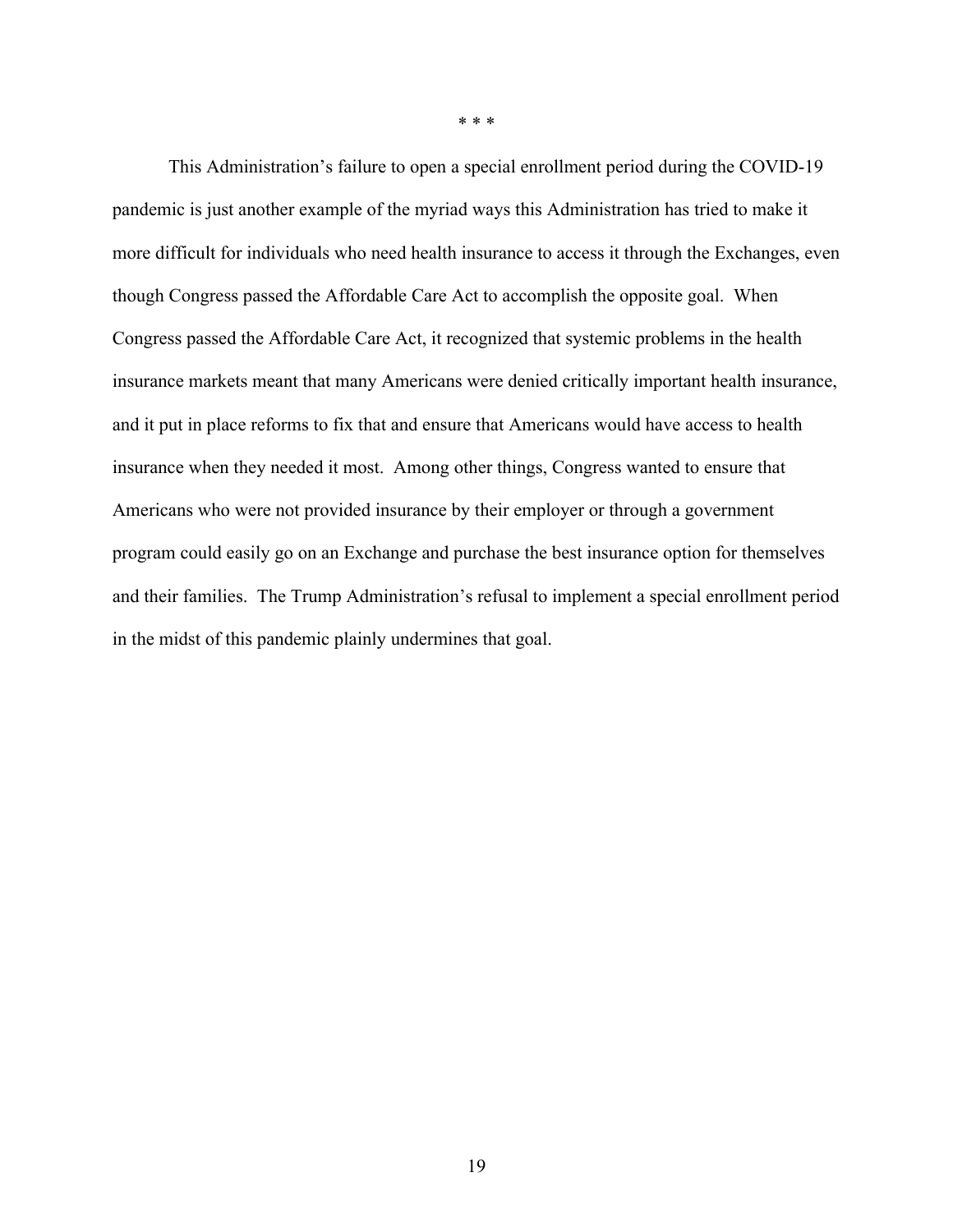This Administration's failure to open a special enrollment period during the COVID-19 pandemic is just another example of the myriad ways this Administration has tried to make it more difficult for individuals who need health insurance to access it through the Exchanges, even though Congress passed the Affordable Care Act to accomplish the opposite goal. When Congress passed the Affordable Care Act, it recognized that systemic problems in the health insurance markets meant that many Americans were denied critically important health insurance, and it put in place reforms to fix that and ensure that Americans would have access to health insurance when they needed it most. Among other things, Congress wanted to ensure that Americans who were not provided insurance by their employer or through a government program could easily go on an Exchange and purchase the best insurance option for themselves and their families. The Trump Administration's refusal to implement a special enrollment period in the midst of this pandemic plainly undermines that goal.

\* \* \*